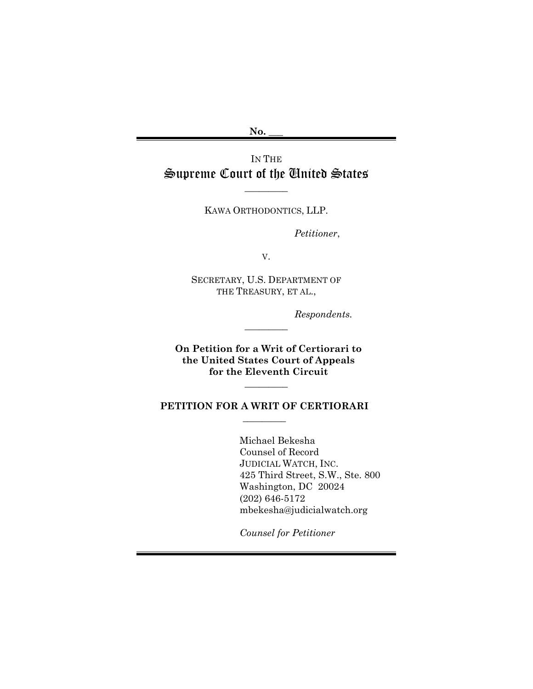**No. \_\_\_**

IN THE Supreme Court of the United States

KAWA ORTHODONTICS, LLP.

\_\_\_\_\_\_\_\_\_

*Petitioner*,

V.

SECRETARY, U.S. DEPARTMENT OF THE TREASURY, ET AL.,

 $\overline{\phantom{a}}$ 

*Respondents.*

**On Petition for a Writ of Certiorari to the United States Court of Appeals for the Eleventh Circuit**

 $\overline{\phantom{a}}$ 

### **PETITION FOR A WRIT OF CERTIORARI**  $\frac{1}{2}$

Michael Bekesha Counsel of Record JUDICIAL WATCH, INC. 425 Third Street, S.W., Ste. 800 Washington, DC 20024 (202) 646-5172 mbekesha@judicialwatch.org

*Counsel for Petitioner*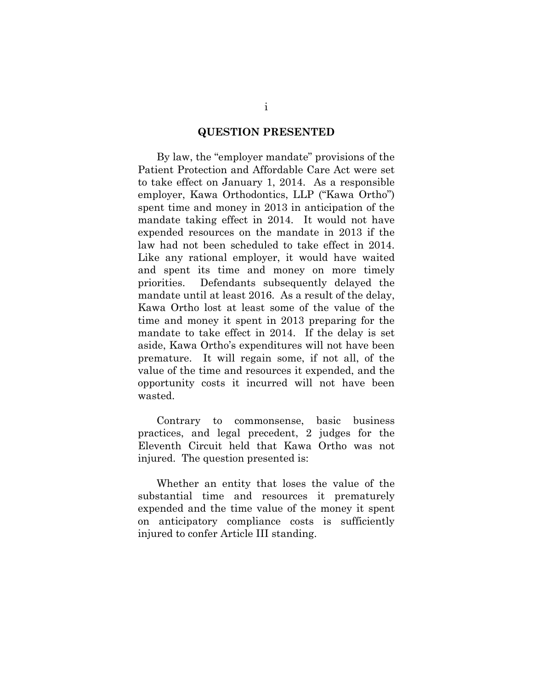#### **QUESTION PRESENTED**

By law, the "employer mandate" provisions of the Patient Protection and Affordable Care Act were set to take effect on January 1, 2014. As a responsible employer, Kawa Orthodontics, LLP ("Kawa Ortho") spent time and money in 2013 in anticipation of the mandate taking effect in 2014. It would not have expended resources on the mandate in 2013 if the law had not been scheduled to take effect in 2014. Like any rational employer, it would have waited and spent its time and money on more timely priorities. Defendants subsequently delayed the mandate until at least 2016. As a result of the delay, Kawa Ortho lost at least some of the value of the time and money it spent in 2013 preparing for the mandate to take effect in 2014. If the delay is set aside, Kawa Ortho's expenditures will not have been premature. It will regain some, if not all, of the value of the time and resources it expended, and the opportunity costs it incurred will not have been wasted.

Contrary to commonsense, basic business practices, and legal precedent, 2 judges for the Eleventh Circuit held that Kawa Ortho was not injured. The question presented is:

Whether an entity that loses the value of the substantial time and resources it prematurely expended and the time value of the money it spent on anticipatory compliance costs is sufficiently injured to confer Article III standing.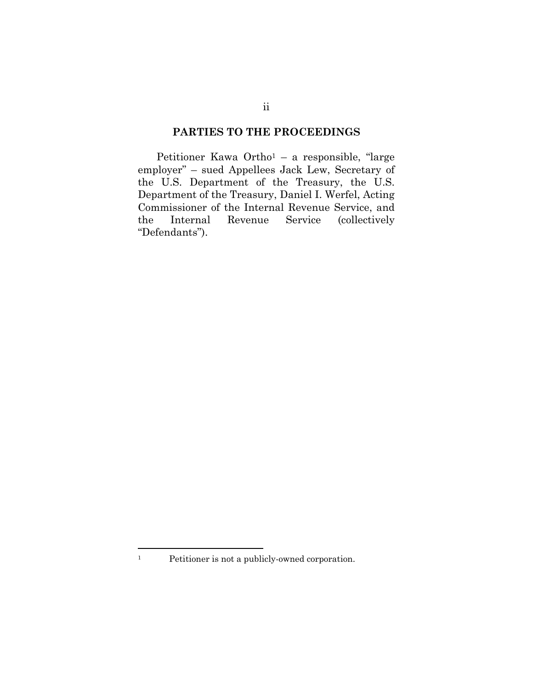### **PARTIES TO THE PROCEEDINGS**

Petitioner Kawa Ortho<sup>1</sup> – a responsible, "large employer" – sued Appellees Jack Lew, Secretary of the U.S. Department of the Treasury, the U.S. Department of the Treasury, Daniel I. Werfel, Acting Commissioner of the Internal Revenue Service, and the Internal Revenue Service (collectively "Defendants").

 $\overline{a}$ 

<sup>1</sup> Petitioner is not a publicly-owned corporation.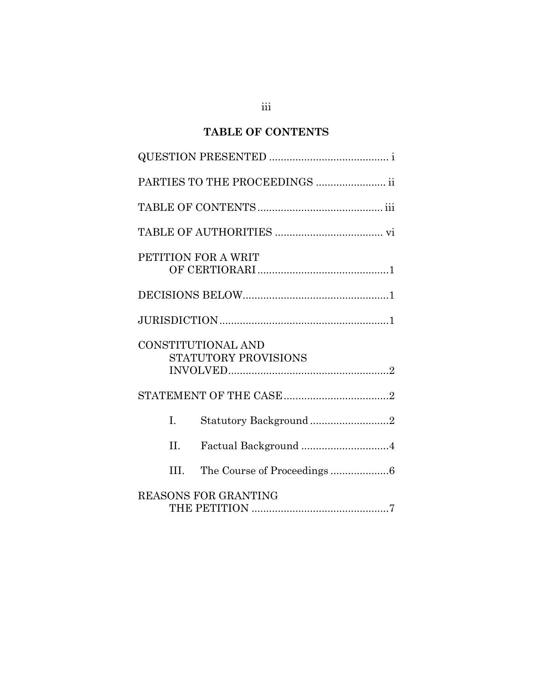# **TABLE OF CONTENTS**

|                     | PARTIES TO THE PROCEEDINGS  ii |
|---------------------|--------------------------------|
|                     |                                |
|                     |                                |
| PETITION FOR A WRIT |                                |
|                     |                                |
|                     |                                |
| CONSTITUTIONAL AND  | STATUTORY PROVISIONS           |
|                     |                                |
| $\mathbf{L}$        | Statutory Background2          |
| II.                 |                                |
| III.                |                                |
|                     | <b>REASONS FOR GRANTING</b>    |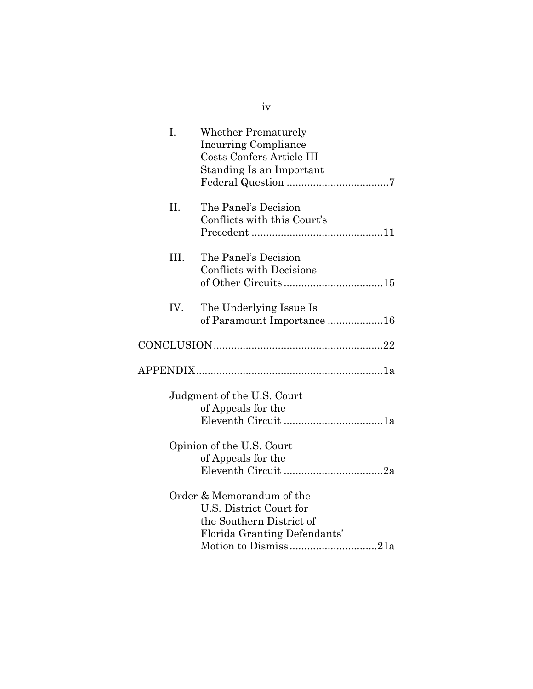| I.   | <b>Whether Prematurely</b><br><b>Incurring Compliance</b><br>Costs Confers Article III<br>Standing Is an Important |
|------|--------------------------------------------------------------------------------------------------------------------|
| II.  | The Panel's Decision<br>Conflicts with this Court's                                                                |
| III. | The Panel's Decision<br><b>Conflicts with Decisions</b>                                                            |
| IV.  | The Underlying Issue Is<br>of Paramount Importance 16                                                              |
|      |                                                                                                                    |
|      |                                                                                                                    |
|      |                                                                                                                    |
|      | Judgment of the U.S. Court<br>of Appeals for the                                                                   |
|      | Opinion of the U.S. Court<br>of Appeals for the                                                                    |

iv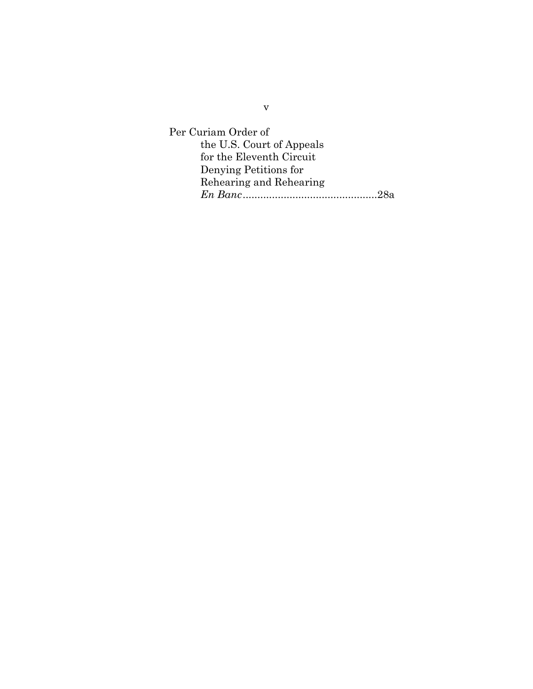Per Curiam Order of the U.S. Court of Appeals for the Eleventh Circuit Denying Petitions for Rehearing and Rehearing *En Banc*..............................................28a

v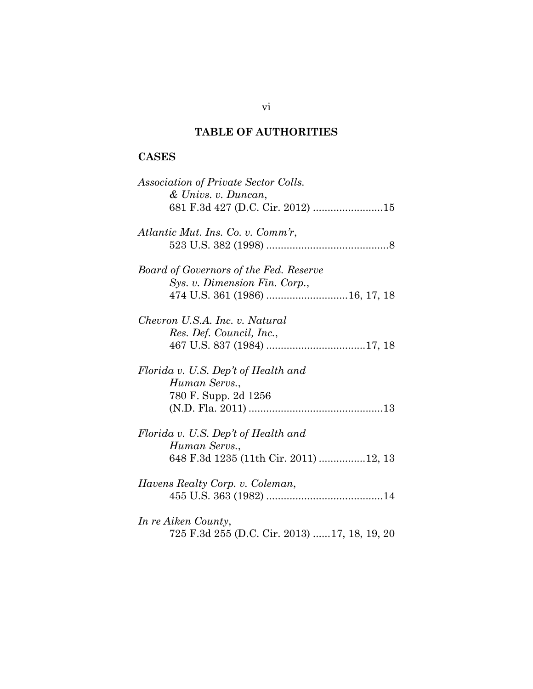# **TABLE OF AUTHORITIES**

# **CASES**

| Association of Private Sector Colls.         |
|----------------------------------------------|
| & Univs. v. Duncan,                          |
|                                              |
|                                              |
| Atlantic Mut. Ins. Co. v. Comm'r,            |
|                                              |
|                                              |
| Board of Governors of the Fed. Reserve       |
| Sys. v. Dimension Fin. Corp.,                |
|                                              |
|                                              |
| Chevron U.S.A. Inc. v. Natural               |
| Res. Def. Council, Inc.,                     |
|                                              |
|                                              |
| Florida v. U.S. Dep't of Health and          |
| Human Servs.,                                |
| 780 F. Supp. 2d 1256                         |
|                                              |
|                                              |
|                                              |
| Florida v. U.S. Dep't of Health and          |
| Human Servs.,                                |
| 648 F.3d 1235 (11th Cir. 2011) 12, 13        |
|                                              |
| Havens Realty Corp. v. Coleman,              |
|                                              |
|                                              |
|                                              |
| In re Aiken County,                          |
| 725 F.3d 255 (D.C. Cir. 2013) 17, 18, 19, 20 |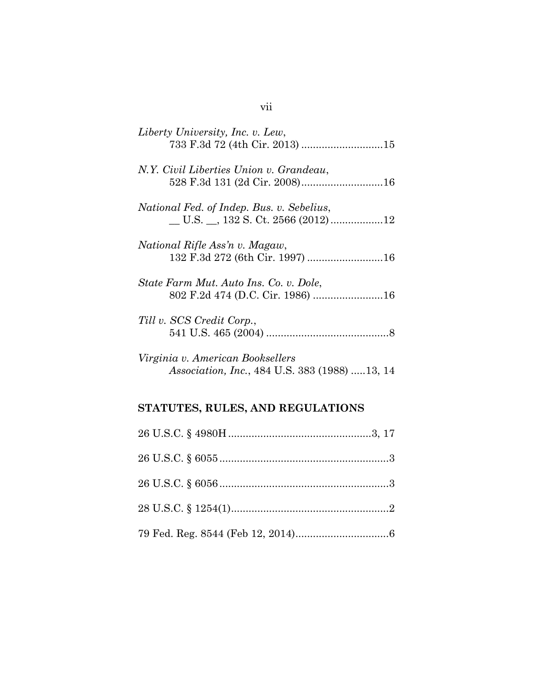| Liberty University, Inc. v. Lew,                     |
|------------------------------------------------------|
| N.Y. Civil Liberties Union v. Grandeau,              |
| National Fed. of Indep. Bus. v. Sebelius,            |
| National Rifle Ass'n v. Magaw,                       |
| State Farm Mut. Auto Ins. Co. v. Dole,               |
| Till v. SCS Credit Corp.,                            |
| Virginia v. American Booksellers                     |
| <i>Association, Inc., 484 U.S. 383 (1988) 13, 14</i> |

# **STATUTES, RULES, AND REGULATIONS**

# vii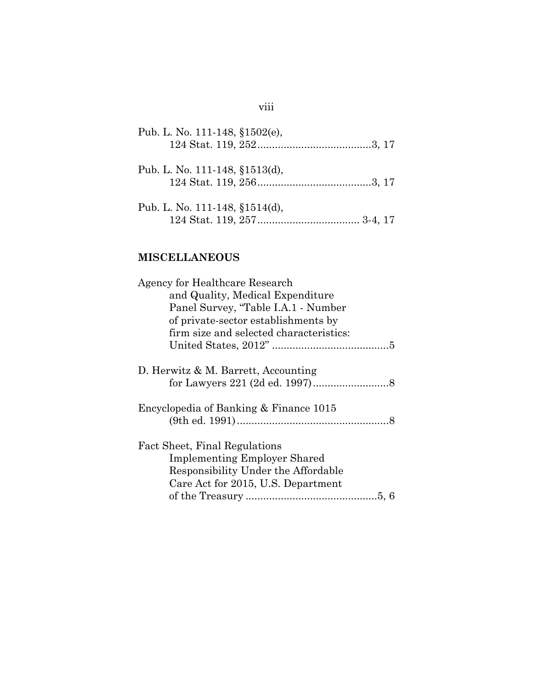| Pub. L. No. 111-148, §1502(e),    |  |
|-----------------------------------|--|
| Pub. L. No. 111-148, §1513(d),    |  |
| Pub. L. No. 111-148, $$1514(d)$ , |  |

# **MISCELLANEOUS**

| Agency for Healthcare Research          |  |
|-----------------------------------------|--|
| and Quality, Medical Expenditure        |  |
| Panel Survey, "Table I.A.1 - Number     |  |
| of private-sector establishments by     |  |
| firm size and selected characteristics: |  |
|                                         |  |
|                                         |  |
| D. Herwitz & M. Barrett, Accounting     |  |
|                                         |  |
|                                         |  |
| Encyclopedia of Banking & Finance 1015  |  |
|                                         |  |
|                                         |  |
| Fact Sheet, Final Regulations           |  |
| <b>Implementing Employer Shared</b>     |  |
| Responsibility Under the Affordable     |  |
| Care Act for 2015, U.S. Department      |  |
|                                         |  |
|                                         |  |

# viii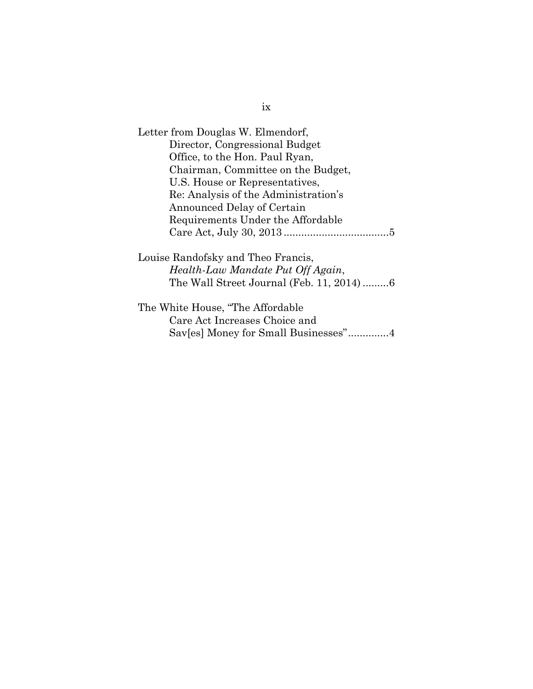| Letter from Douglas W. Elmendorf,        |
|------------------------------------------|
| Director, Congressional Budget           |
| Office, to the Hon. Paul Ryan,           |
| Chairman, Committee on the Budget,       |
| U.S. House or Representatives,           |
| Re: Analysis of the Administration's     |
| Announced Delay of Certain               |
| Requirements Under the Affordable        |
|                                          |
| Louise Randofsky and Theo Francis,       |
| Health-Law Mandate Put Off Again,        |
| The Wall Street Journal (Feb. 11, 2014)6 |
| The White House, "The Affordable"        |
| Care Act Increases Choice and            |
| Sav[es] Money for Small Businesses"4     |
|                                          |

ix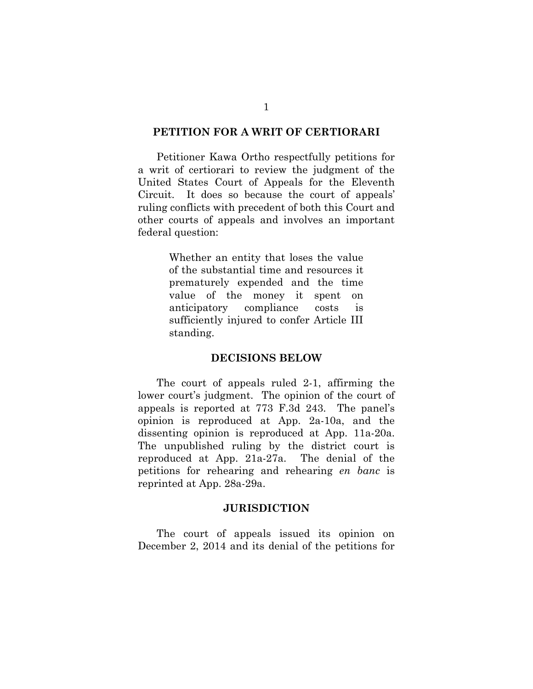#### **PETITION FOR A WRIT OF CERTIORARI**

Petitioner Kawa Ortho respectfully petitions for a writ of certiorari to review the judgment of the United States Court of Appeals for the Eleventh Circuit. It does so because the court of appeals' ruling conflicts with precedent of both this Court and other courts of appeals and involves an important federal question:

> Whether an entity that loses the value of the substantial time and resources it prematurely expended and the time value of the money it spent on anticipatory compliance costs is sufficiently injured to confer Article III standing.

#### **DECISIONS BELOW**

The court of appeals ruled 2-1, affirming the lower court's judgment. The opinion of the court of appeals is reported at 773 F.3d 243. The panel's opinion is reproduced at App. 2a-10a, and the dissenting opinion is reproduced at App. 11a-20a. The unpublished ruling by the district court is reproduced at App. 21a-27a. The denial of the petitions for rehearing and rehearing *en banc* is reprinted at App. 28a-29a.

#### **JURISDICTION**

The court of appeals issued its opinion on December 2, 2014 and its denial of the petitions for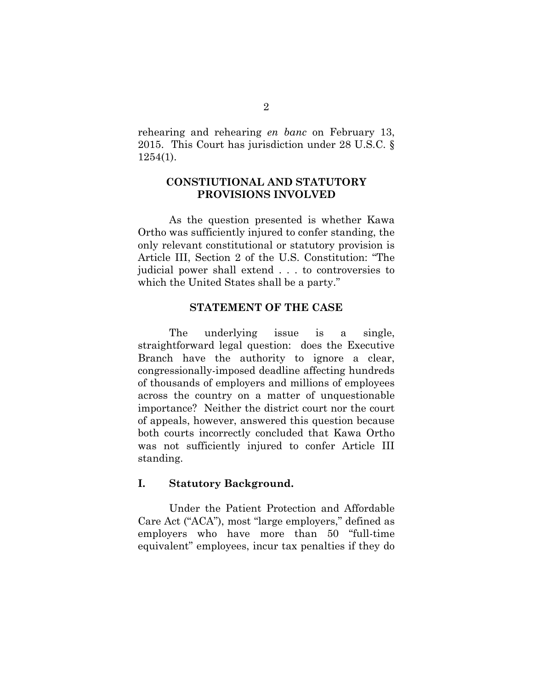rehearing and rehearing *en banc* on February 13, 2015. This Court has jurisdiction under 28 U.S.C. § 1254(1).

### **CONSTIUTIONAL AND STATUTORY PROVISIONS INVOLVED**

As the question presented is whether Kawa Ortho was sufficiently injured to confer standing, the only relevant constitutional or statutory provision is Article III, Section 2 of the U.S. Constitution: "The judicial power shall extend . . . to controversies to which the United States shall be a party."

### **STATEMENT OF THE CASE**

The underlying issue is a single, straightforward legal question: does the Executive Branch have the authority to ignore a clear, congressionally-imposed deadline affecting hundreds of thousands of employers and millions of employees across the country on a matter of unquestionable importance? Neither the district court nor the court of appeals, however, answered this question because both courts incorrectly concluded that Kawa Ortho was not sufficiently injured to confer Article III standing.

### **I. Statutory Background.**

Under the Patient Protection and Affordable Care Act ("ACA"), most "large employers," defined as employers who have more than 50 "full-time equivalent" employees, incur tax penalties if they do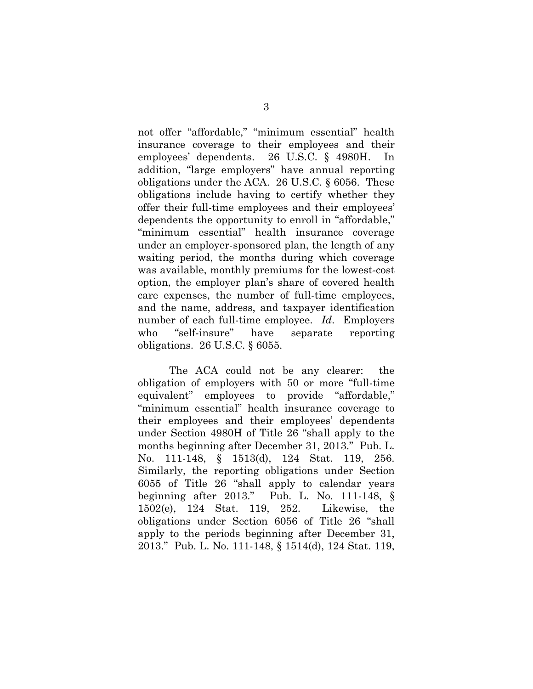not offer "affordable," "minimum essential" health insurance coverage to their employees and their employees' dependents. 26 U.S.C. § 4980H. In addition, "large employers" have annual reporting obligations under the ACA. 26 U.S.C. § 6056. These obligations include having to certify whether they offer their full-time employees and their employees' dependents the opportunity to enroll in "affordable," "minimum essential" health insurance coverage under an employer-sponsored plan, the length of any waiting period, the months during which coverage was available, monthly premiums for the lowest-cost option, the employer plan's share of covered health care expenses, the number of full-time employees, and the name, address, and taxpayer identification number of each full-time employee. *Id*. Employers who "self-insure" have separate reporting obligations. 26 U.S.C. § 6055.

The ACA could not be any clearer: the obligation of employers with 50 or more "full-time equivalent" employees to provide "affordable," "minimum essential" health insurance coverage to their employees and their employees' dependents under Section 4980H of Title 26 "shall apply to the months beginning after December 31, 2013." Pub. L. No. 111-148, § 1513(d), 124 Stat. 119, 256. Similarly, the reporting obligations under Section 6055 of Title 26 "shall apply to calendar years beginning after 2013." Pub. L. No. 111-148, § 1502(e), 124 Stat. 119, 252. Likewise, the obligations under Section 6056 of Title 26 "shall apply to the periods beginning after December 31, 2013." Pub. L. No. 111-148, § 1514(d), 124 Stat. 119,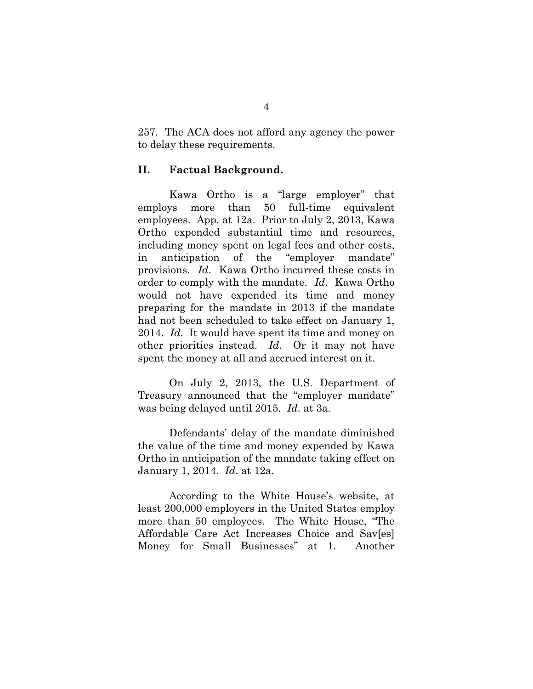257. The ACA does not afford any agency the power to delay these requirements.

### **II. Factual Background.**

Kawa Ortho is a "large employer" that employs more than 50 full-time equivalent employees. App. at 12a. Prior to July 2, 2013, Kawa Ortho expended substantial time and resources, including money spent on legal fees and other costs, in anticipation of the "employer mandate" provisions. *Id*. Kawa Ortho incurred these costs in order to comply with the mandate. *Id*. Kawa Ortho would not have expended its time and money preparing for the mandate in 2013 if the mandate had not been scheduled to take effect on January 1, 2014. *Id*. It would have spent its time and money on other priorities instead. *Id*. Or it may not have spent the money at all and accrued interest on it.

On July 2, 2013, the U.S. Department of Treasury announced that the "employer mandate" was being delayed until 2015. *Id*. at 3a.

Defendants' delay of the mandate diminished the value of the time and money expended by Kawa Ortho in anticipation of the mandate taking effect on January 1, 2014. *Id*. at 12a.

According to the White House's website, at least 200,000 employers in the United States employ more than 50 employees. The White House, "The Affordable Care Act Increases Choice and Sav[es] Money for Small Businesses" at 1. Another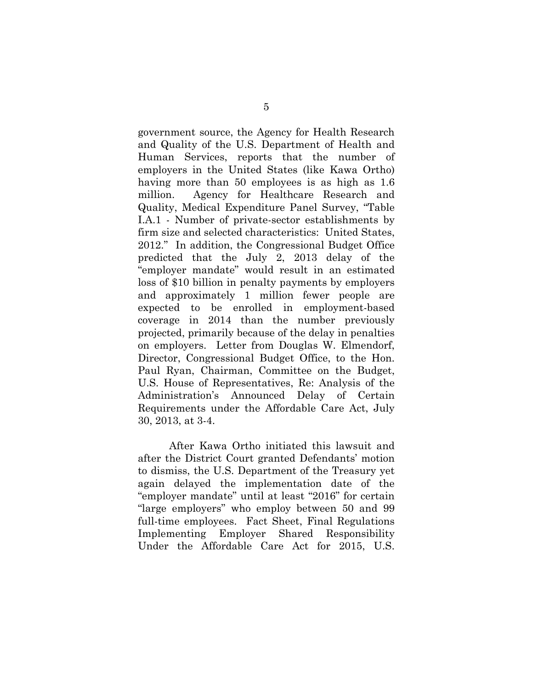government source, the Agency for Health Research and Quality of the U.S. Department of Health and Human Services, reports that the number of employers in the United States (like Kawa Ortho) having more than 50 employees is as high as 1.6 million. Agency for Healthcare Research and Quality, Medical Expenditure Panel Survey, "Table I.A.1 - Number of private-sector establishments by firm size and selected characteristics: United States, 2012." In addition, the Congressional Budget Office predicted that the July 2, 2013 delay of the "employer mandate" would result in an estimated loss of \$10 billion in penalty payments by employers and approximately 1 million fewer people are expected to be enrolled in employment-based coverage in 2014 than the number previously projected, primarily because of the delay in penalties on employers. Letter from Douglas W. Elmendorf, Director, Congressional Budget Office, to the Hon. Paul Ryan, Chairman, Committee on the Budget, U.S. House of Representatives, Re: Analysis of the Administration's Announced Delay of Certain Requirements under the Affordable Care Act, July 30, 2013, at 3-4.

After Kawa Ortho initiated this lawsuit and after the District Court granted Defendants' motion to dismiss, the U.S. Department of the Treasury yet again delayed the implementation date of the "employer mandate" until at least "2016" for certain "large employers" who employ between 50 and 99 full-time employees. Fact Sheet, Final Regulations Implementing Employer Shared Responsibility Under the Affordable Care Act for 2015, U.S.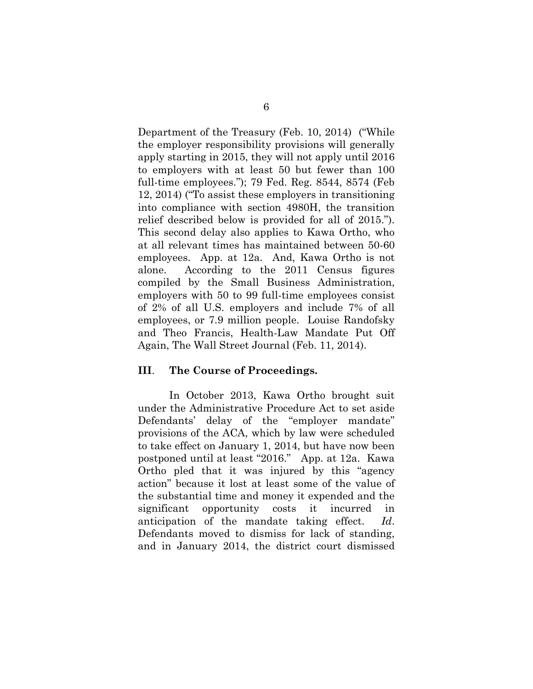Department of the Treasury (Feb. 10, 2014) ("While the employer responsibility provisions will generally apply starting in 2015, they will not apply until 2016 to employers with at least 50 but fewer than 100 full-time employees."); 79 Fed. Reg. 8544, 8574 (Feb 12, 2014) ("To assist these employers in transitioning into compliance with section 4980H, the transition relief described below is provided for all of 2015."). This second delay also applies to Kawa Ortho, who at all relevant times has maintained between 50-60 employees. App. at 12a. And, Kawa Ortho is not alone. According to the 2011 Census figures compiled by the Small Business Administration, employers with 50 to 99 full-time employees consist of 2% of all U.S. employers and include 7% of all employees, or 7.9 million people. Louise Randofsky and Theo Francis, Health-Law Mandate Put Off Again, The Wall Street Journal (Feb. 11, 2014).

#### **III**. **The Course of Proceedings.**

In October 2013, Kawa Ortho brought suit under the Administrative Procedure Act to set aside Defendants' delay of the "employer mandate" provisions of the ACA, which by law were scheduled to take effect on January 1, 2014, but have now been postponed until at least "2016." App. at 12a. Kawa Ortho pled that it was injured by this "agency action" because it lost at least some of the value of the substantial time and money it expended and the significant opportunity costs it incurred in anticipation of the mandate taking effect. *Id*. Defendants moved to dismiss for lack of standing, and in January 2014, the district court dismissed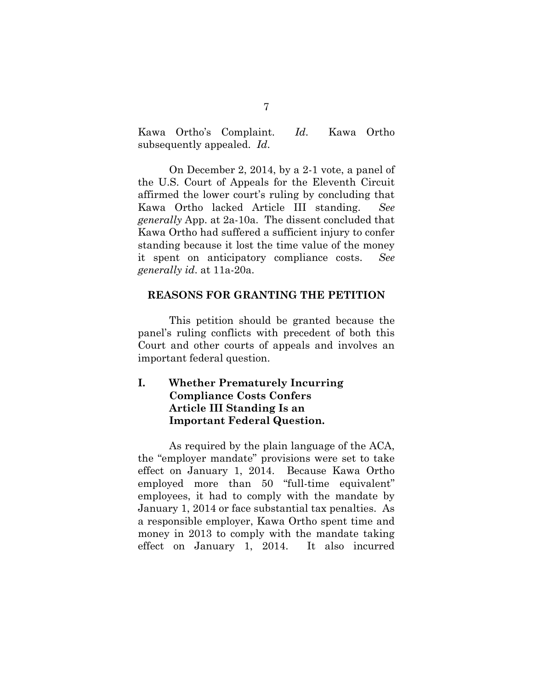Kawa Ortho's Complaint. *Id*. Kawa Ortho subsequently appealed. *Id*.

On December 2, 2014, by a 2-1 vote, a panel of the U.S. Court of Appeals for the Eleventh Circuit affirmed the lower court's ruling by concluding that Kawa Ortho lacked Article III standing. *See generally* App. at 2a-10a. The dissent concluded that Kawa Ortho had suffered a sufficient injury to confer standing because it lost the time value of the money it spent on anticipatory compliance costs. *See generally id*. at 11a-20a.

#### **REASONS FOR GRANTING THE PETITION**

This petition should be granted because the panel's ruling conflicts with precedent of both this Court and other courts of appeals and involves an important federal question.

### **I. Whether Prematurely Incurring Compliance Costs Confers Article III Standing Is an Important Federal Question.**

As required by the plain language of the ACA, the "employer mandate" provisions were set to take effect on January 1, 2014. Because Kawa Ortho employed more than 50 "full-time equivalent" employees, it had to comply with the mandate by January 1, 2014 or face substantial tax penalties. As a responsible employer, Kawa Ortho spent time and money in 2013 to comply with the mandate taking effect on January 1, 2014. It also incurred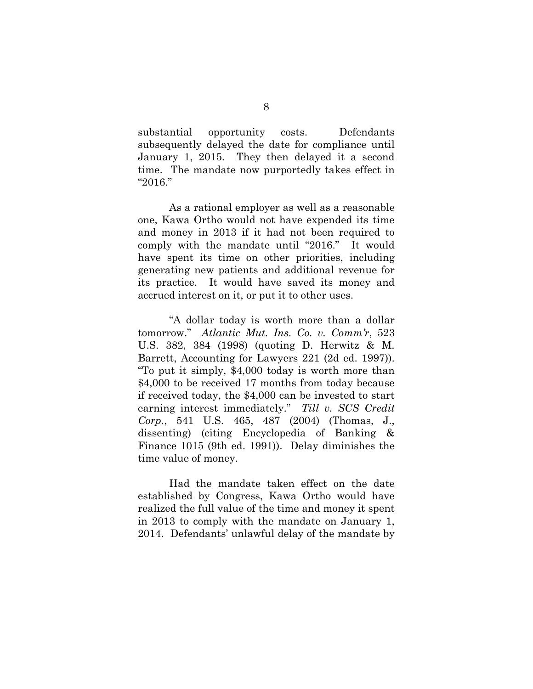substantial opportunity costs. Defendants subsequently delayed the date for compliance until January 1, 2015. They then delayed it a second time. The mandate now purportedly takes effect in "2016."

As a rational employer as well as a reasonable one, Kawa Ortho would not have expended its time and money in 2013 if it had not been required to comply with the mandate until "2016." It would have spent its time on other priorities, including generating new patients and additional revenue for its practice. It would have saved its money and accrued interest on it, or put it to other uses.

"A dollar today is worth more than a dollar tomorrow." *Atlantic Mut. Ins. Co. v. Comm'r*, 523 U.S. 382, 384 (1998) (quoting D. Herwitz & M. Barrett, Accounting for Lawyers 221 (2d ed. 1997)). "To put it simply, \$4,000 today is worth more than \$4,000 to be received 17 months from today because if received today, the \$4,000 can be invested to start earning interest immediately." *Till v. SCS Credit Corp.*, 541 U.S. 465, 487 (2004) (Thomas, J., dissenting) (citing Encyclopedia of Banking & Finance 1015 (9th ed. 1991)). Delay diminishes the time value of money.

Had the mandate taken effect on the date established by Congress, Kawa Ortho would have realized the full value of the time and money it spent in 2013 to comply with the mandate on January 1, 2014. Defendants' unlawful delay of the mandate by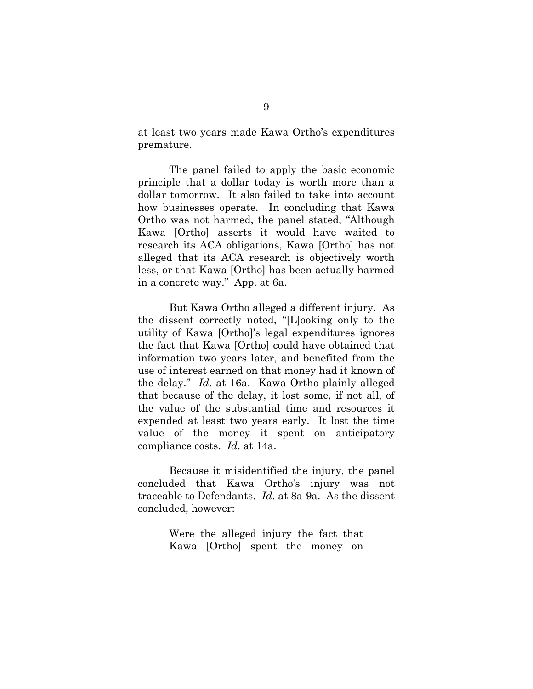at least two years made Kawa Ortho's expenditures premature.

The panel failed to apply the basic economic principle that a dollar today is worth more than a dollar tomorrow. It also failed to take into account how businesses operate. In concluding that Kawa Ortho was not harmed, the panel stated, "Although Kawa [Ortho] asserts it would have waited to research its ACA obligations, Kawa [Ortho] has not alleged that its ACA research is objectively worth less, or that Kawa [Ortho] has been actually harmed in a concrete way." App. at 6a.

But Kawa Ortho alleged a different injury. As the dissent correctly noted, "[L]ooking only to the utility of Kawa [Ortho]'s legal expenditures ignores the fact that Kawa [Ortho] could have obtained that information two years later, and benefited from the use of interest earned on that money had it known of the delay." *Id*. at 16a. Kawa Ortho plainly alleged that because of the delay, it lost some, if not all, of the value of the substantial time and resources it expended at least two years early. It lost the time value of the money it spent on anticipatory compliance costs. *Id*. at 14a.

Because it misidentified the injury, the panel concluded that Kawa Ortho's injury was not traceable to Defendants. *Id*. at 8a-9a. As the dissent concluded, however:

> Were the alleged injury the fact that Kawa [Ortho] spent the money on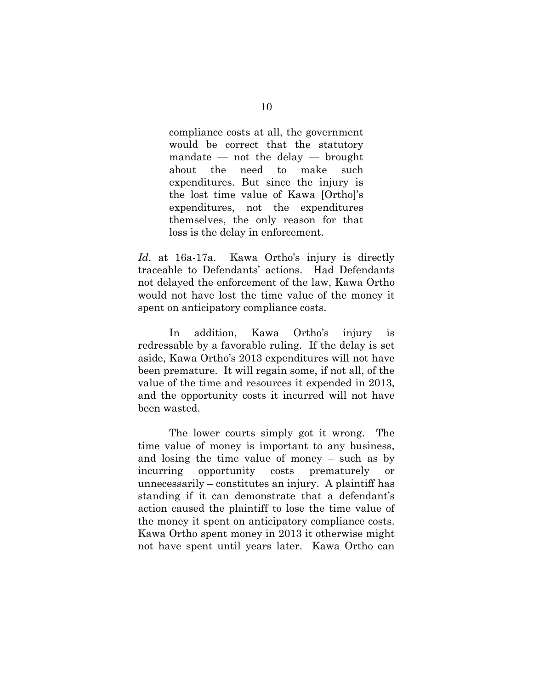compliance costs at all, the government would be correct that the statutory mandate — not the delay — brought about the need to make such expenditures. But since the injury is the lost time value of Kawa [Ortho]'s expenditures, not the expenditures themselves, the only reason for that loss is the delay in enforcement.

*Id*. at 16a-17a. Kawa Ortho's injury is directly traceable to Defendants' actions. Had Defendants not delayed the enforcement of the law, Kawa Ortho would not have lost the time value of the money it spent on anticipatory compliance costs.

In addition, Kawa Ortho's injury is redressable by a favorable ruling. If the delay is set aside, Kawa Ortho's 2013 expenditures will not have been premature. It will regain some, if not all, of the value of the time and resources it expended in 2013, and the opportunity costs it incurred will not have been wasted.

The lower courts simply got it wrong. The time value of money is important to any business, and losing the time value of money – such as by incurring opportunity costs prematurely or unnecessarily – constitutes an injury. A plaintiff has standing if it can demonstrate that a defendant's action caused the plaintiff to lose the time value of the money it spent on anticipatory compliance costs. Kawa Ortho spent money in 2013 it otherwise might not have spent until years later. Kawa Ortho can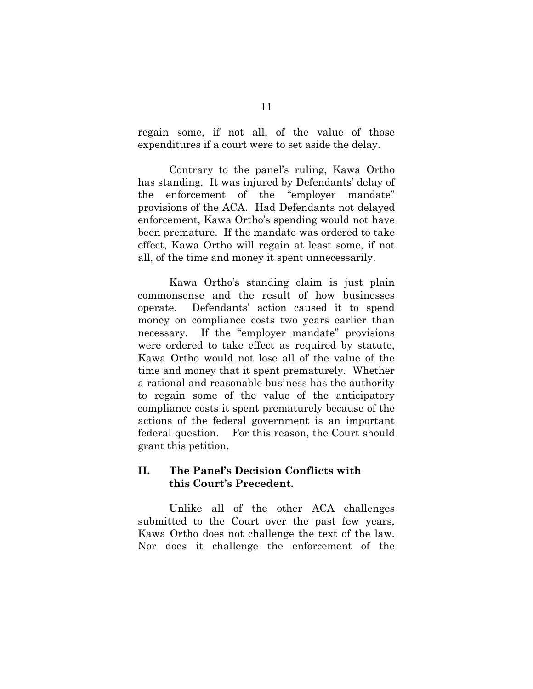regain some, if not all, of the value of those expenditures if a court were to set aside the delay.

Contrary to the panel's ruling, Kawa Ortho has standing. It was injured by Defendants' delay of the enforcement of the "employer mandate" provisions of the ACA. Had Defendants not delayed enforcement, Kawa Ortho's spending would not have been premature. If the mandate was ordered to take effect, Kawa Ortho will regain at least some, if not all, of the time and money it spent unnecessarily.

Kawa Ortho's standing claim is just plain commonsense and the result of how businesses operate. Defendants' action caused it to spend money on compliance costs two years earlier than necessary. If the "employer mandate" provisions were ordered to take effect as required by statute, Kawa Ortho would not lose all of the value of the time and money that it spent prematurely. Whether a rational and reasonable business has the authority to regain some of the value of the anticipatory compliance costs it spent prematurely because of the actions of the federal government is an important federal question. For this reason, the Court should grant this petition.

### **II. The Panel's Decision Conflicts with this Court's Precedent.**

Unlike all of the other ACA challenges submitted to the Court over the past few years, Kawa Ortho does not challenge the text of the law. Nor does it challenge the enforcement of the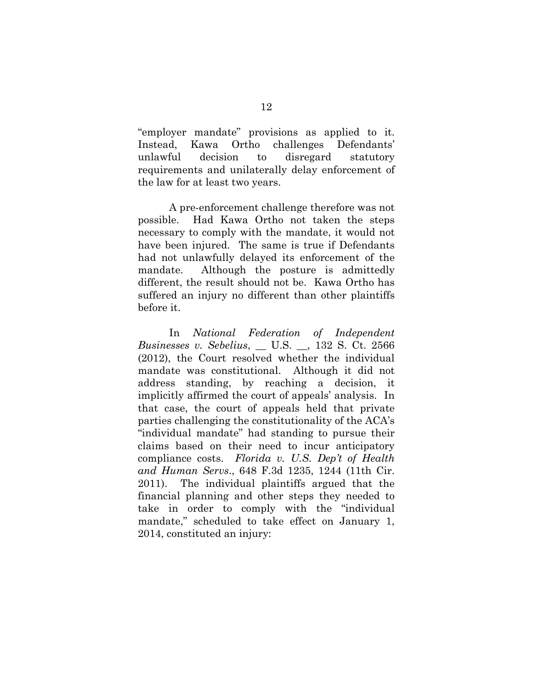"employer mandate" provisions as applied to it. Instead, Kawa Ortho challenges Defendants' unlawful decision to disregard statutory requirements and unilaterally delay enforcement of the law for at least two years.

A pre-enforcement challenge therefore was not possible. Had Kawa Ortho not taken the steps necessary to comply with the mandate, it would not have been injured. The same is true if Defendants had not unlawfully delayed its enforcement of the mandate. Although the posture is admittedly different, the result should not be. Kawa Ortho has suffered an injury no different than other plaintiffs before it.

In *National Federation of Independent Businesses v. Sebelius*, \_\_ U.S. \_\_, 132 S. Ct. 2566 (2012), the Court resolved whether the individual mandate was constitutional. Although it did not address standing, by reaching a decision, it implicitly affirmed the court of appeals' analysis. In that case, the court of appeals held that private parties challenging the constitutionality of the ACA's "individual mandate" had standing to pursue their claims based on their need to incur anticipatory compliance costs. *Florida v. U.S. Dep't of Health and Human Servs*., 648 F.3d 1235, 1244 (11th Cir. 2011). The individual plaintiffs argued that the financial planning and other steps they needed to take in order to comply with the "individual mandate," scheduled to take effect on January 1, 2014, constituted an injury: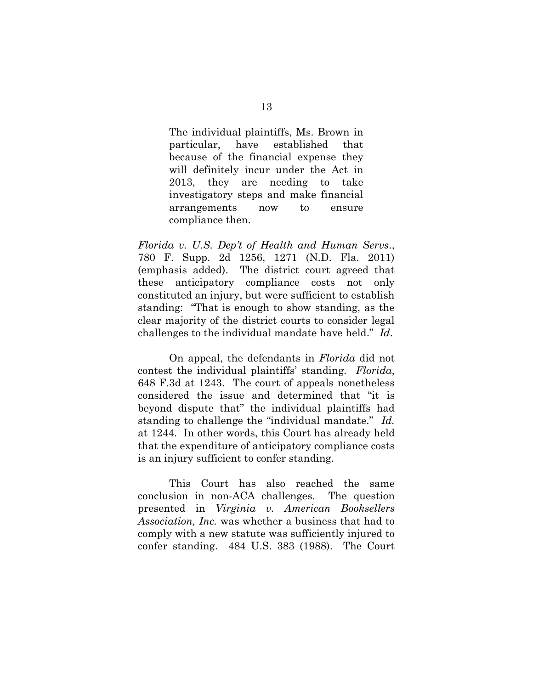The individual plaintiffs, Ms. Brown in particular, have established that because of the financial expense they will definitely incur under the Act in 2013, they are needing to take investigatory steps and make financial arrangements now to ensure compliance then.

*Florida v. U.S. Dep't of Health and Human Servs*., 780 F. Supp. 2d 1256, 1271 (N.D. Fla. 2011) (emphasis added). The district court agreed that these anticipatory compliance costs not only constituted an injury, but were sufficient to establish standing: "That is enough to show standing, as the clear majority of the district courts to consider legal challenges to the individual mandate have held." *Id*.

On appeal, the defendants in *Florida* did not contest the individual plaintiffs' standing. *Florida*, 648 F.3d at 1243. The court of appeals nonetheless considered the issue and determined that "it is beyond dispute that" the individual plaintiffs had standing to challenge the "individual mandate." *Id.*  at 1244. In other words, this Court has already held that the expenditure of anticipatory compliance costs is an injury sufficient to confer standing.

This Court has also reached the same conclusion in non-ACA challenges. The question presented in *Virginia v. American Booksellers Association, Inc.* was whether a business that had to comply with a new statute was sufficiently injured to confer standing. 484 U.S. 383 (1988). The Court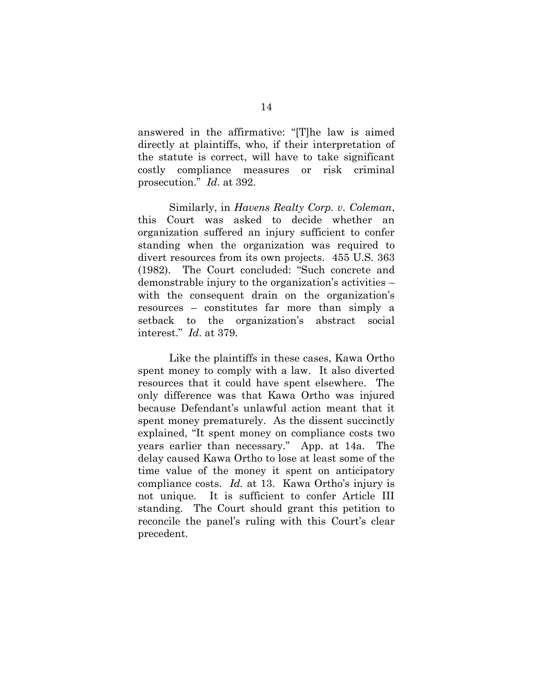answered in the affirmative: "[T]he law is aimed directly at plaintiffs, who, if their interpretation of the statute is correct, will have to take significant costly compliance measures or risk criminal prosecution." *Id*. at 392.

Similarly, in *Havens Realty Corp. v. Coleman*, this Court was asked to decide whether an organization suffered an injury sufficient to confer standing when the organization was required to divert resources from its own projects. 455 U.S. 363 (1982). The Court concluded: "Such concrete and demonstrable injury to the organization's activities – with the consequent drain on the organization's resources – constitutes far more than simply a setback to the organization's abstract social interest." *Id*. at 379.

Like the plaintiffs in these cases, Kawa Ortho spent money to comply with a law. It also diverted resources that it could have spent elsewhere. The only difference was that Kawa Ortho was injured because Defendant's unlawful action meant that it spent money prematurely. As the dissent succinctly explained, "It spent money on compliance costs two years earlier than necessary." App. at 14a. The delay caused Kawa Ortho to lose at least some of the time value of the money it spent on anticipatory compliance costs. *Id.* at 13. Kawa Ortho's injury is not unique. It is sufficient to confer Article III standing. The Court should grant this petition to reconcile the panel's ruling with this Court's clear precedent.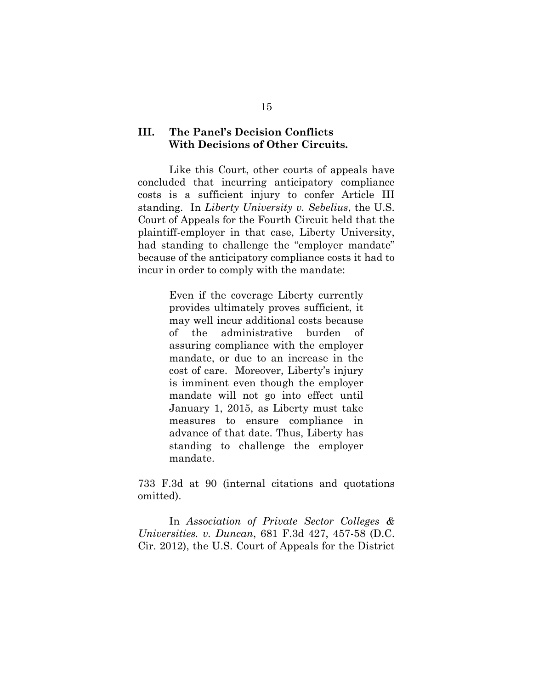### **III. The Panel's Decision Conflicts With Decisions of Other Circuits.**

Like this Court, other courts of appeals have concluded that incurring anticipatory compliance costs is a sufficient injury to confer Article III standing. In *Liberty University v. Sebelius*, the U.S. Court of Appeals for the Fourth Circuit held that the plaintiff-employer in that case, Liberty University, had standing to challenge the "employer mandate" because of the anticipatory compliance costs it had to incur in order to comply with the mandate:

> Even if the coverage Liberty currently provides ultimately proves sufficient, it may well incur additional costs because of the administrative burden of assuring compliance with the employer mandate, or due to an increase in the cost of care. Moreover, Liberty's injury is imminent even though the employer mandate will not go into effect until January 1, 2015, as Liberty must take measures to ensure compliance in advance of that date. Thus, Liberty has standing to challenge the employer mandate.

733 F.3d at 90 (internal citations and quotations omitted).

In *Association of Private Sector Colleges & Universities. v. Duncan*, 681 F.3d 427, 457-58 (D.C. Cir. 2012), the U.S. Court of Appeals for the District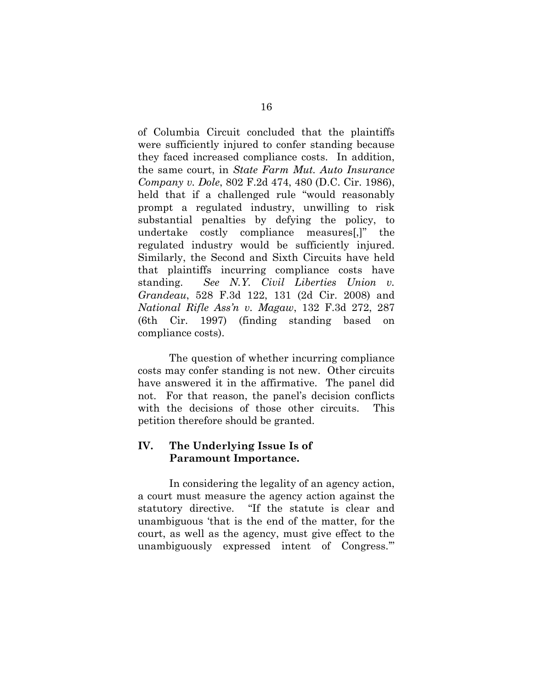of Columbia Circuit concluded that the plaintiffs were sufficiently injured to confer standing because they faced increased compliance costs. In addition, the same court, in *State Farm Mut. Auto Insurance Company v. Dole*, 802 F.2d 474, 480 (D.C. Cir. 1986), held that if a challenged rule "would reasonably prompt a regulated industry, unwilling to risk substantial penalties by defying the policy, to undertake costly compliance measures[,]" the regulated industry would be sufficiently injured. Similarly, the Second and Sixth Circuits have held that plaintiffs incurring compliance costs have standing. *See N.Y. Civil Liberties Union v. Grandeau*, 528 F.3d 122, 131 (2d Cir. 2008) and *National Rifle Ass'n v. Magaw*, 132 F.3d 272, 287 (6th Cir. 1997) (finding standing based on compliance costs).

The question of whether incurring compliance costs may confer standing is not new. Other circuits have answered it in the affirmative. The panel did not. For that reason, the panel's decision conflicts with the decisions of those other circuits. This petition therefore should be granted.

### **IV. The Underlying Issue Is of Paramount Importance.**

In considering the legality of an agency action, a court must measure the agency action against the statutory directive. "If the statute is clear and unambiguous 'that is the end of the matter, for the court, as well as the agency, must give effect to the unambiguously expressed intent of Congress.'"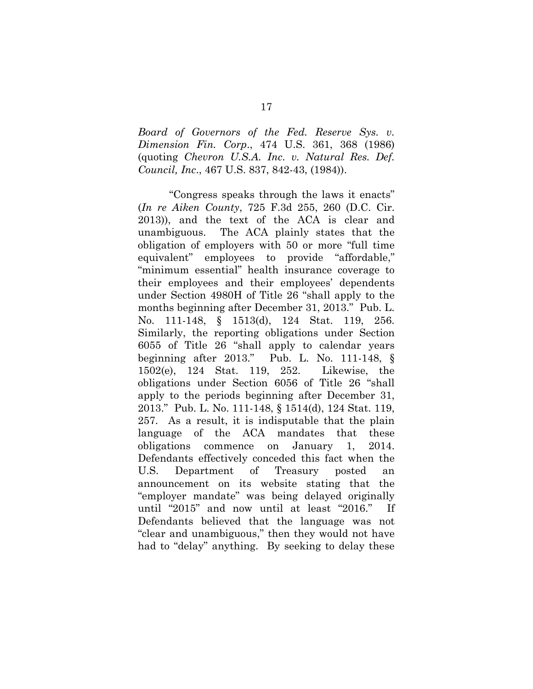*Board of Governors of the Fed. Reserve Sys. v. Dimension Fin. Corp*., 474 U.S. 361, 368 (1986) (quoting *Chevron U.S.A. Inc. v. Natural Res. Def. Council, Inc*., 467 U.S. 837, 842-43, (1984)).

"Congress speaks through the laws it enacts" (*In re Aiken County*, 725 F.3d 255, 260 (D.C. Cir. 2013)), and the text of the ACA is clear and unambiguous. The ACA plainly states that the obligation of employers with 50 or more "full time equivalent" employees to provide "affordable," "minimum essential" health insurance coverage to their employees and their employees' dependents under Section 4980H of Title 26 "shall apply to the months beginning after December 31, 2013." Pub. L. No. 111-148, § 1513(d), 124 Stat. 119, 256. Similarly, the reporting obligations under Section 6055 of Title 26 "shall apply to calendar years beginning after 2013." Pub. L. No. 111-148, § 1502(e), 124 Stat. 119, 252. Likewise, the obligations under Section 6056 of Title 26 "shall apply to the periods beginning after December 31, 2013." Pub. L. No. 111-148, § 1514(d), 124 Stat. 119, 257. As a result, it is indisputable that the plain language of the ACA mandates that these obligations commence on January 1, 2014. Defendants effectively conceded this fact when the U.S. Department of Treasury posted an announcement on its website stating that the "employer mandate" was being delayed originally until "2015" and now until at least "2016." If Defendants believed that the language was not "clear and unambiguous," then they would not have had to "delay" anything. By seeking to delay these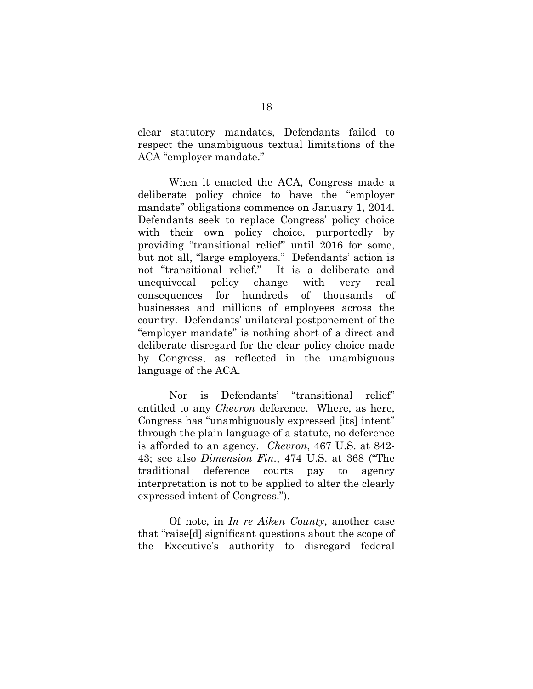clear statutory mandates, Defendants failed to respect the unambiguous textual limitations of the ACA "employer mandate."

When it enacted the ACA, Congress made a deliberate policy choice to have the "employer mandate" obligations commence on January 1, 2014. Defendants seek to replace Congress' policy choice with their own policy choice, purportedly by providing "transitional relief" until 2016 for some, but not all, "large employers." Defendants' action is not "transitional relief." It is a deliberate and unequivocal policy change with very real consequences for hundreds of thousands of businesses and millions of employees across the country. Defendants' unilateral postponement of the "employer mandate" is nothing short of a direct and deliberate disregard for the clear policy choice made by Congress, as reflected in the unambiguous language of the ACA.

Nor is Defendants' "transitional relief" entitled to any *Chevron* deference. Where, as here, Congress has "unambiguously expressed [its] intent" through the plain language of a statute, no deference is afforded to an agency. *Chevron*, 467 U.S. at 842- 43; see also *Dimension Fin.*, 474 U.S. at 368 ("The traditional deference courts pay to agency interpretation is not to be applied to alter the clearly expressed intent of Congress.").

Of note, in *In re Aiken County*, another case that "raise[d] significant questions about the scope of the Executive's authority to disregard federal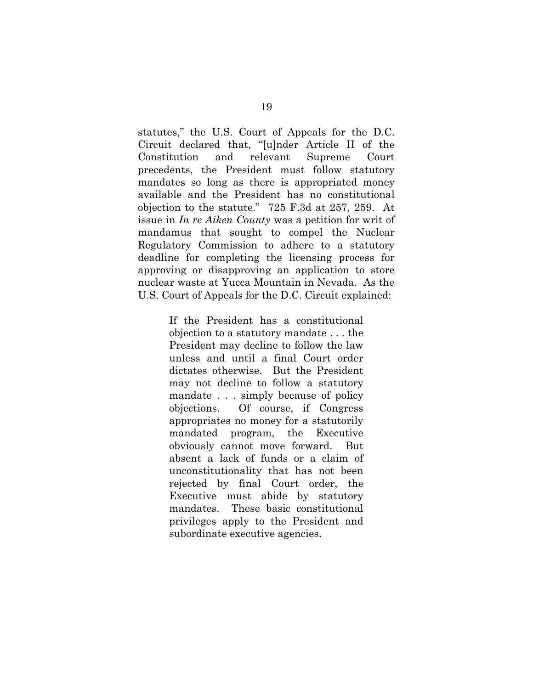statutes," the U.S. Court of Appeals for the D.C. Circuit declared that, "[u]nder Article II of the Constitution and relevant Supreme Court precedents, the President must follow statutory mandates so long as there is appropriated money available and the President has no constitutional objection to the statute." 725 F.3d at 257, 259. At issue in *In re Aiken County* was a petition for writ of mandamus that sought to compel the Nuclear Regulatory Commission to adhere to a statutory deadline for completing the licensing process for approving or disapproving an application to store nuclear waste at Yucca Mountain in Nevada. As the U.S. Court of Appeals for the D.C. Circuit explained:

> If the President has a constitutional objection to a statutory mandate . . . the President may decline to follow the law unless and until a final Court order dictates otherwise. But the President may not decline to follow a statutory mandate . . . simply because of policy objections. Of course, if Congress appropriates no money for a statutorily mandated program, the Executive obviously cannot move forward. But absent a lack of funds or a claim of unconstitutionality that has not been rejected by final Court order, the Executive must abide by statutory mandates. These basic constitutional privileges apply to the President and subordinate executive agencies.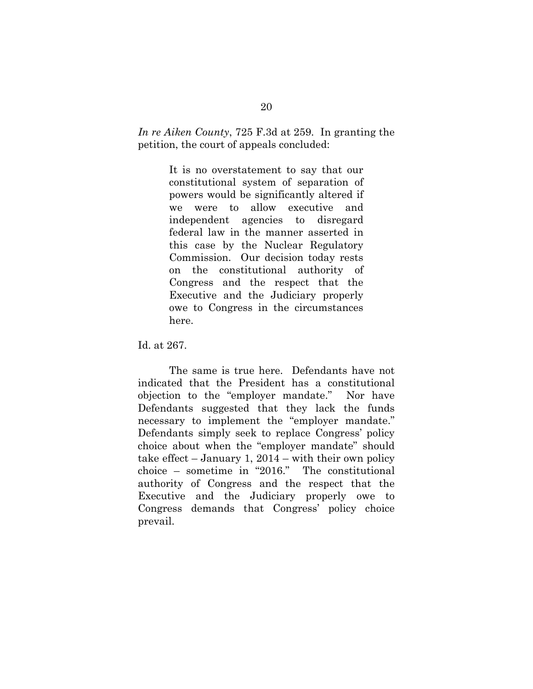*In re Aiken County*, 725 F.3d at 259. In granting the petition, the court of appeals concluded:

> It is no overstatement to say that our constitutional system of separation of powers would be significantly altered if we were to allow executive and independent agencies to disregard federal law in the manner asserted in this case by the Nuclear Regulatory Commission. Our decision today rests on the constitutional authority of Congress and the respect that the Executive and the Judiciary properly owe to Congress in the circumstances here.

Id. at 267.

The same is true here. Defendants have not indicated that the President has a constitutional objection to the "employer mandate." Nor have Defendants suggested that they lack the funds necessary to implement the "employer mandate." Defendants simply seek to replace Congress' policy choice about when the "employer mandate" should take effect  $-$  January 1, 2014  $-$  with their own policy choice – sometime in "2016." The constitutional authority of Congress and the respect that the Executive and the Judiciary properly owe to Congress demands that Congress' policy choice prevail.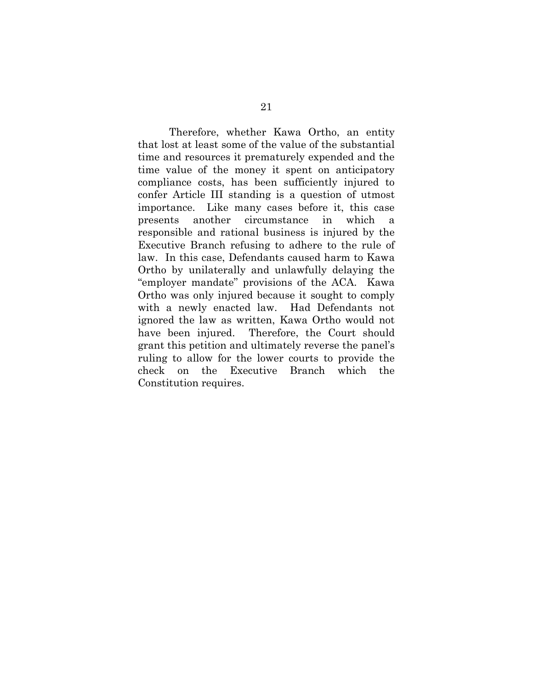Therefore, whether Kawa Ortho, an entity that lost at least some of the value of the substantial time and resources it prematurely expended and the time value of the money it spent on anticipatory compliance costs, has been sufficiently injured to confer Article III standing is a question of utmost importance. Like many cases before it, this case presents another circumstance in which a responsible and rational business is injured by the Executive Branch refusing to adhere to the rule of law. In this case, Defendants caused harm to Kawa Ortho by unilaterally and unlawfully delaying the "employer mandate" provisions of the ACA. Kawa Ortho was only injured because it sought to comply with a newly enacted law. Had Defendants not ignored the law as written, Kawa Ortho would not have been injured. Therefore, the Court should grant this petition and ultimately reverse the panel's ruling to allow for the lower courts to provide the check on the Executive Branch which the Constitution requires.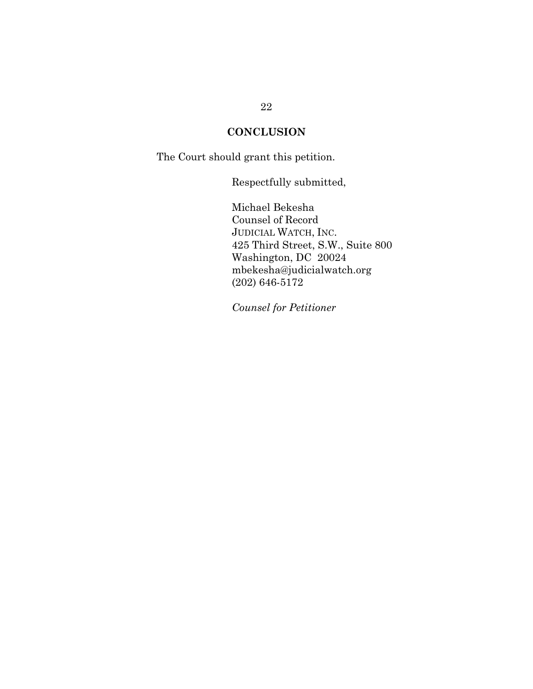### **CONCLUSION**

The Court should grant this petition.

Respectfully submitted,

Michael Bekesha Counsel of Record JUDICIAL WATCH, INC. 425 Third Street, S.W., Suite 800 Washington, DC 20024 mbekesha@judicialwatch.org (202) 646-5172

*Counsel for Petitioner*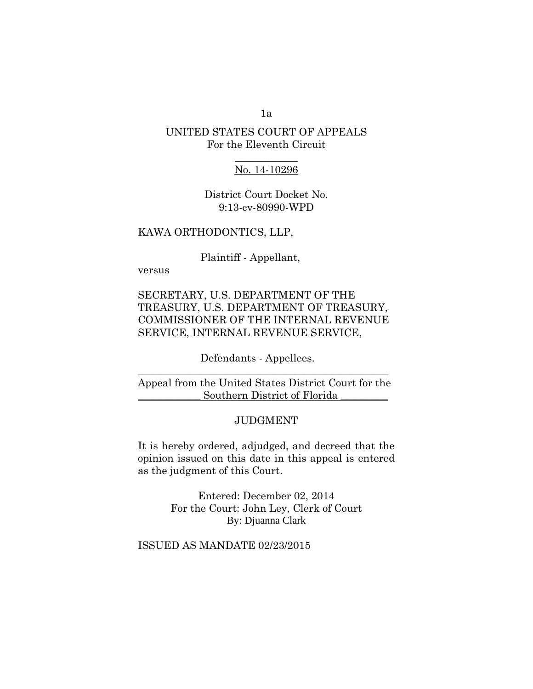### 1a

### UNITED STATES COURT OF APPEALS For the Eleventh Circuit

### $\frac{1}{2}$ No. 14-10296

District Court Docket No. 9:13-cv-80990-WPD

#### KAWA ORTHODONTICS, LLP,

Plaintiff - Appellant,

versus

### SECRETARY, U.S. DEPARTMENT OF THE TREASURY, U.S. DEPARTMENT OF TREASURY, COMMISSIONER OF THE INTERNAL REVENUE SERVICE, INTERNAL REVENUE SERVICE,

### Defendants - Appellees.  $\mathcal{L}_\text{max}$  , and the contract of the contract of the contract of the contract of the contract of the contract of the contract of the contract of the contract of the contract of the contract of the contract of the contr

### Appeal from the United States District Court for the Southern District of Florida

#### JUDGMENT

It is hereby ordered, adjudged, and decreed that the opinion issued on this date in this appeal is entered as the judgment of this Court.

> Entered: December 02, 2014 For the Court: John Ley, Clerk of Court By: Djuanna Clark

### ISSUED AS MANDATE 02/23/2015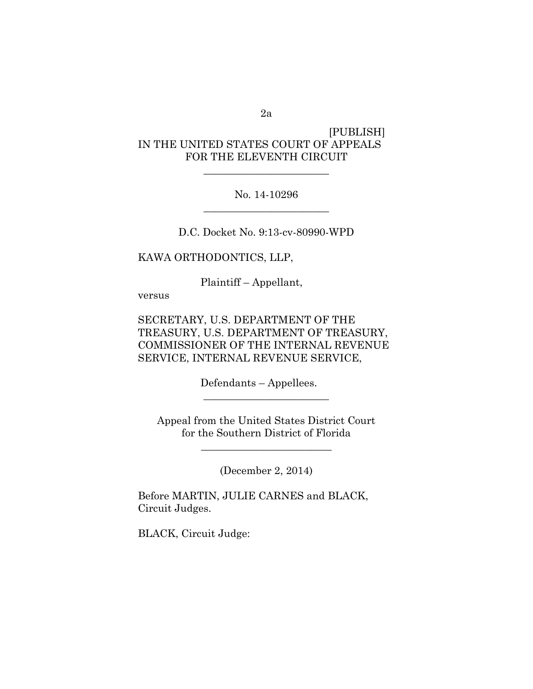### 2a

### [PUBLISH] IN THE UNITED STATES COURT OF APPEALS FOR THE ELEVENTH CIRCUIT

### No. 14-10296 \_\_\_\_\_\_\_\_\_\_\_\_\_\_\_\_\_\_\_\_\_\_\_\_

\_\_\_\_\_\_\_\_\_\_\_\_\_\_\_\_\_\_\_\_\_\_\_\_

D.C. Docket No. 9:13-cv-80990-WPD

KAWA ORTHODONTICS, LLP,

Plaintiff – Appellant,

versus

SECRETARY, U.S. DEPARTMENT OF THE TREASURY, U.S. DEPARTMENT OF TREASURY, COMMISSIONER OF THE INTERNAL REVENUE SERVICE, INTERNAL REVENUE SERVICE,

Defendants – Appellees.

Appeal from the United States District Court for the Southern District of Florida

\_\_\_\_\_\_\_\_\_\_\_\_\_\_\_\_\_\_\_\_\_\_\_\_\_

\_\_\_\_\_\_\_\_\_\_\_\_\_\_\_\_\_\_\_\_\_\_\_\_

(December 2, 2014)

Before MARTIN, JULIE CARNES and BLACK, Circuit Judges.

BLACK, Circuit Judge: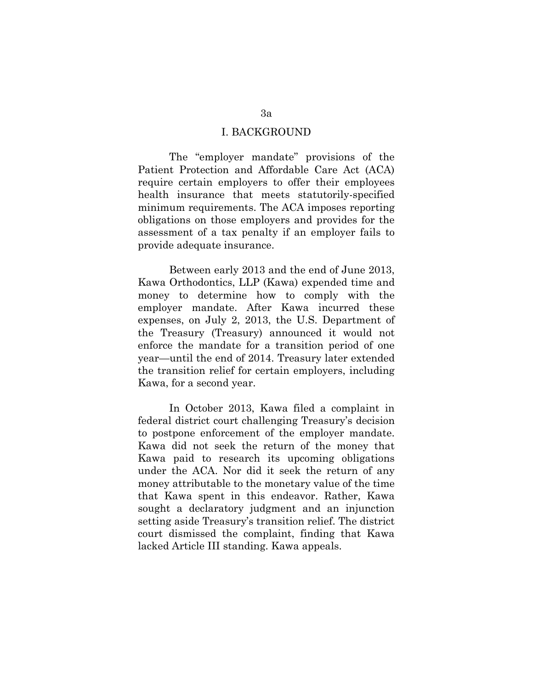#### I. BACKGROUND

The "employer mandate" provisions of the Patient Protection and Affordable Care Act (ACA) require certain employers to offer their employees health insurance that meets statutorily-specified minimum requirements. The ACA imposes reporting obligations on those employers and provides for the assessment of a tax penalty if an employer fails to provide adequate insurance.

Between early 2013 and the end of June 2013, Kawa Orthodontics, LLP (Kawa) expended time and money to determine how to comply with the employer mandate. After Kawa incurred these expenses, on July 2, 2013, the U.S. Department of the Treasury (Treasury) announced it would not enforce the mandate for a transition period of one year—until the end of 2014. Treasury later extended the transition relief for certain employers, including Kawa, for a second year.

In October 2013, Kawa filed a complaint in federal district court challenging Treasury's decision to postpone enforcement of the employer mandate. Kawa did not seek the return of the money that Kawa paid to research its upcoming obligations under the ACA. Nor did it seek the return of any money attributable to the monetary value of the time that Kawa spent in this endeavor. Rather, Kawa sought a declaratory judgment and an injunction setting aside Treasury's transition relief. The district court dismissed the complaint, finding that Kawa lacked Article III standing. Kawa appeals.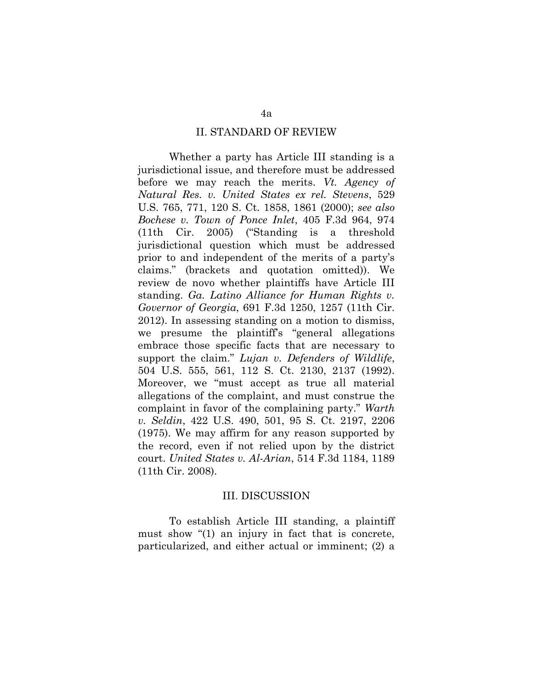#### II. STANDARD OF REVIEW

Whether a party has Article III standing is a jurisdictional issue, and therefore must be addressed before we may reach the merits. *Vt. Agency of Natural Res. v. United States ex rel. Stevens*, 529 U.S. 765, 771, 120 S. Ct. 1858, 1861 (2000); *see also Bochese v. Town of Ponce Inlet*, 405 F.3d 964, 974 (11th Cir. 2005) ("Standing is a threshold jurisdictional question which must be addressed prior to and independent of the merits of a party's claims." (brackets and quotation omitted)). We review de novo whether plaintiffs have Article III standing. *Ga. Latino Alliance for Human Rights v. Governor of Georgia*, 691 F.3d 1250, 1257 (11th Cir. 2012). In assessing standing on a motion to dismiss, we presume the plaintiff's "general allegations embrace those specific facts that are necessary to support the claim." *Lujan v. Defenders of Wildlife*, 504 U.S. 555, 561, 112 S. Ct. 2130, 2137 (1992). Moreover, we "must accept as true all material allegations of the complaint, and must construe the complaint in favor of the complaining party." *Warth v. Seldin*, 422 U.S. 490, 501, 95 S. Ct. 2197, 2206 (1975). We may affirm for any reason supported by the record, even if not relied upon by the district court. *United States v. Al-Arian*, 514 F.3d 1184, 1189 (11th Cir. 2008).

#### III. DISCUSSION

To establish Article III standing, a plaintiff must show "(1) an injury in fact that is concrete, particularized, and either actual or imminent; (2) a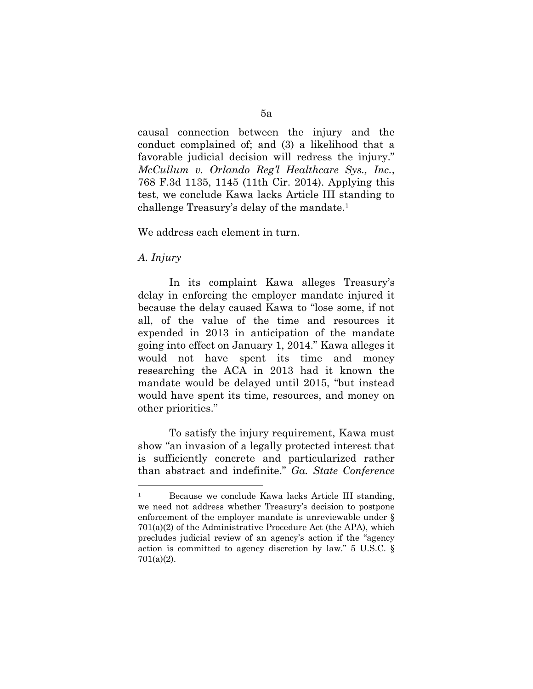causal connection between the injury and the conduct complained of; and (3) a likelihood that a favorable judicial decision will redress the injury." *McCullum v. Orlando Reg'l Healthcare Sys., Inc.*, 768 F.3d 1135, 1145 (11th Cir. 2014). Applying this test, we conclude Kawa lacks Article III standing to challenge Treasury's delay of the mandate.<sup>1</sup>

We address each element in turn.

### *A. Injury*

 $\overline{a}$ 

In its complaint Kawa alleges Treasury's delay in enforcing the employer mandate injured it because the delay caused Kawa to "lose some, if not all, of the value of the time and resources it expended in 2013 in anticipation of the mandate going into effect on January 1, 2014." Kawa alleges it would not have spent its time and money researching the ACA in 2013 had it known the mandate would be delayed until 2015, "but instead would have spent its time, resources, and money on other priorities."

To satisfy the injury requirement, Kawa must show "an invasion of a legally protected interest that is sufficiently concrete and particularized rather than abstract and indefinite." *Ga. State Conference* 

<sup>&</sup>lt;sup>1</sup> Because we conclude Kawa lacks Article III standing, we need not address whether Treasury's decision to postpone enforcement of the employer mandate is unreviewable under § 701(a)(2) of the Administrative Procedure Act (the APA), which precludes judicial review of an agency's action if the "agency action is committed to agency discretion by law." 5 U.S.C. § 701(a)(2).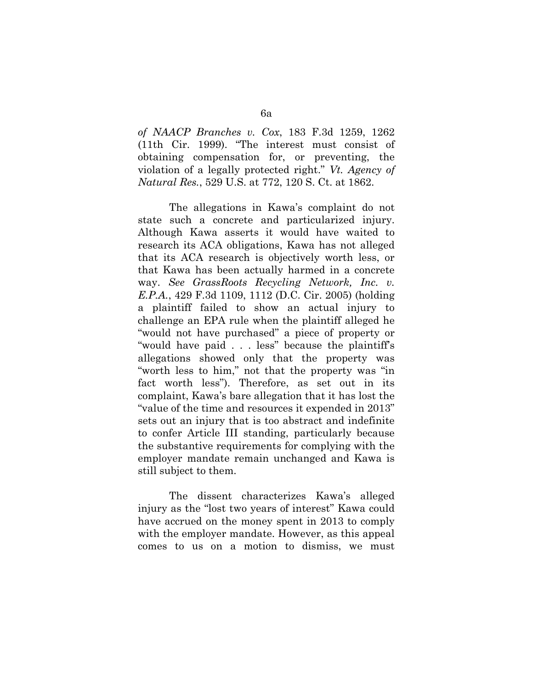*of NAACP Branches v. Cox*, 183 F.3d 1259, 1262 (11th Cir. 1999). "The interest must consist of obtaining compensation for, or preventing, the violation of a legally protected right." *Vt. Agency of Natural Res.*, 529 U.S. at 772, 120 S. Ct. at 1862.

The allegations in Kawa's complaint do not state such a concrete and particularized injury. Although Kawa asserts it would have waited to research its ACA obligations, Kawa has not alleged that its ACA research is objectively worth less, or that Kawa has been actually harmed in a concrete way. *See GrassRoots Recycling Network, Inc. v. E.P.A.*, 429 F.3d 1109, 1112 (D.C. Cir. 2005) (holding a plaintiff failed to show an actual injury to challenge an EPA rule when the plaintiff alleged he "would not have purchased" a piece of property or "would have paid . . . less" because the plaintiff's allegations showed only that the property was "worth less to him," not that the property was "in fact worth less"). Therefore, as set out in its complaint, Kawa's bare allegation that it has lost the "value of the time and resources it expended in 2013" sets out an injury that is too abstract and indefinite to confer Article III standing, particularly because the substantive requirements for complying with the employer mandate remain unchanged and Kawa is still subject to them.

The dissent characterizes Kawa's alleged injury as the "lost two years of interest" Kawa could have accrued on the money spent in 2013 to comply with the employer mandate. However, as this appeal comes to us on a motion to dismiss, we must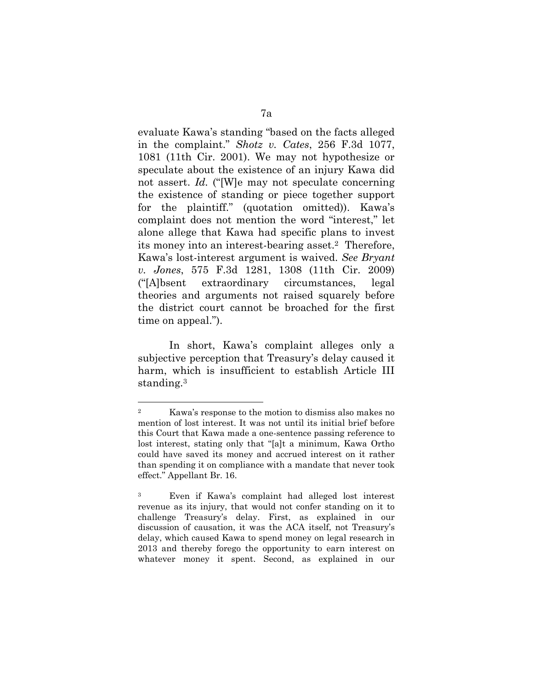evaluate Kawa's standing "based on the facts alleged in the complaint." *Shotz v. Cates*, 256 F.3d 1077, 1081 (11th Cir. 2001). We may not hypothesize or speculate about the existence of an injury Kawa did not assert. *Id.* ("[W]e may not speculate concerning the existence of standing or piece together support for the plaintiff." (quotation omitted)). Kawa's complaint does not mention the word "interest," let alone allege that Kawa had specific plans to invest its money into an interest-bearing asset.2 Therefore, Kawa's lost-interest argument is waived. *See Bryant v. Jones*, 575 F.3d 1281, 1308 (11th Cir. 2009) ("[A]bsent extraordinary circumstances, legal theories and arguments not raised squarely before the district court cannot be broached for the first time on appeal.").

In short, Kawa's complaint alleges only a subjective perception that Treasury's delay caused it harm, which is insufficient to establish Article III standing.<sup>3</sup>

 $\overline{a}$ 

<sup>2</sup> Kawa's response to the motion to dismiss also makes no mention of lost interest. It was not until its initial brief before this Court that Kawa made a one-sentence passing reference to lost interest, stating only that "[a]t a minimum, Kawa Ortho could have saved its money and accrued interest on it rather than spending it on compliance with a mandate that never took effect." Appellant Br. 16.

<sup>3</sup> Even if Kawa's complaint had alleged lost interest revenue as its injury, that would not confer standing on it to challenge Treasury's delay. First, as explained in our discussion of causation, it was the ACA itself, not Treasury's delay, which caused Kawa to spend money on legal research in 2013 and thereby forego the opportunity to earn interest on whatever money it spent. Second, as explained in our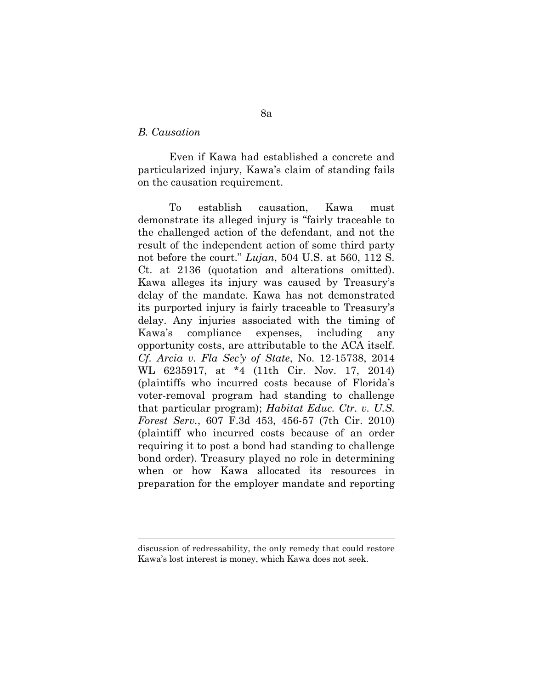#### *B. Causation*

 $\overline{a}$ 

Even if Kawa had established a concrete and particularized injury, Kawa's claim of standing fails on the causation requirement.

To establish causation, Kawa must demonstrate its alleged injury is "fairly traceable to the challenged action of the defendant, and not the result of the independent action of some third party not before the court." *Lujan*, 504 U.S. at 560, 112 S. Ct. at 2136 (quotation and alterations omitted). Kawa alleges its injury was caused by Treasury's delay of the mandate. Kawa has not demonstrated its purported injury is fairly traceable to Treasury's delay. Any injuries associated with the timing of Kawa's compliance expenses, including any opportunity costs, are attributable to the ACA itself. *Cf. Arcia v. Fla Sec'y of State*, No. 12-15738, 2014 WL 6235917, at \*4 (11th Cir. Nov. 17, 2014) (plaintiffs who incurred costs because of Florida's voter-removal program had standing to challenge that particular program); *Habitat Educ. Ctr. v. U.S. Forest Serv.*, 607 F.3d 453, 456-57 (7th Cir. 2010) (plaintiff who incurred costs because of an order requiring it to post a bond had standing to challenge bond order). Treasury played no role in determining when or how Kawa allocated its resources in preparation for the employer mandate and reporting

discussion of redressability, the only remedy that could restore Kawa's lost interest is money, which Kawa does not seek.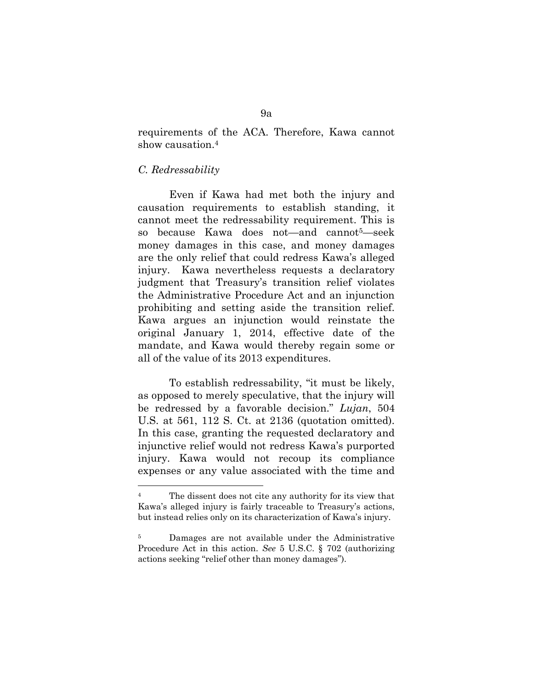requirements of the ACA. Therefore, Kawa cannot show causation.<sup>4</sup>

#### *C. Redressability*

 $\overline{a}$ 

Even if Kawa had met both the injury and causation requirements to establish standing, it cannot meet the redressability requirement. This is so because Kawa does not—and cannot5—seek money damages in this case, and money damages are the only relief that could redress Kawa's alleged injury. Kawa nevertheless requests a declaratory judgment that Treasury's transition relief violates the Administrative Procedure Act and an injunction prohibiting and setting aside the transition relief. Kawa argues an injunction would reinstate the original January 1, 2014, effective date of the mandate, and Kawa would thereby regain some or all of the value of its 2013 expenditures.

To establish redressability, "it must be likely, as opposed to merely speculative, that the injury will be redressed by a favorable decision." *Lujan*, 504 U.S. at 561, 112 S. Ct. at 2136 (quotation omitted). In this case, granting the requested declaratory and injunctive relief would not redress Kawa's purported injury. Kawa would not recoup its compliance expenses or any value associated with the time and

<sup>&</sup>lt;sup>4</sup> The dissent does not cite any authority for its view that Kawa's alleged injury is fairly traceable to Treasury's actions, but instead relies only on its characterization of Kawa's injury.

<sup>5</sup> Damages are not available under the Administrative Procedure Act in this action. *See* 5 U.S.C. § 702 (authorizing actions seeking "relief other than money damages").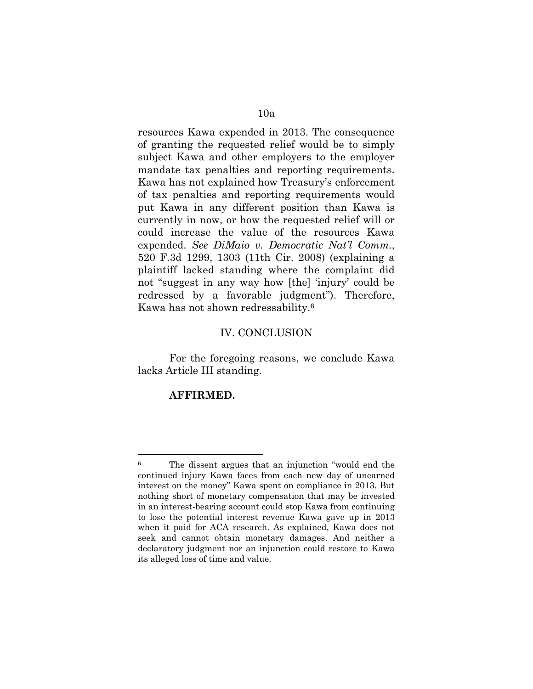resources Kawa expended in 2013. The consequence of granting the requested relief would be to simply subject Kawa and other employers to the employer mandate tax penalties and reporting requirements. Kawa has not explained how Treasury's enforcement of tax penalties and reporting requirements would put Kawa in any different position than Kawa is currently in now, or how the requested relief will or could increase the value of the resources Kawa expended. *See DiMaio v. Democratic Nat'l Comm.*, 520 F.3d 1299, 1303 (11th Cir. 2008) (explaining a plaintiff lacked standing where the complaint did not "suggest in any way how [the] 'injury' could be redressed by a favorable judgment"). Therefore, Kawa has not shown redressability.<sup>6</sup>

#### IV. CONCLUSION

For the foregoing reasons, we conclude Kawa lacks Article III standing.

### **AFFIRMED.**

 $\overline{a}$ 

<sup>6</sup> The dissent argues that an injunction "would end the continued injury Kawa faces from each new day of unearned interest on the money" Kawa spent on compliance in 2013. But nothing short of monetary compensation that may be invested in an interest-bearing account could stop Kawa from continuing to lose the potential interest revenue Kawa gave up in 2013 when it paid for ACA research. As explained, Kawa does not seek and cannot obtain monetary damages. And neither a declaratory judgment nor an injunction could restore to Kawa its alleged loss of time and value.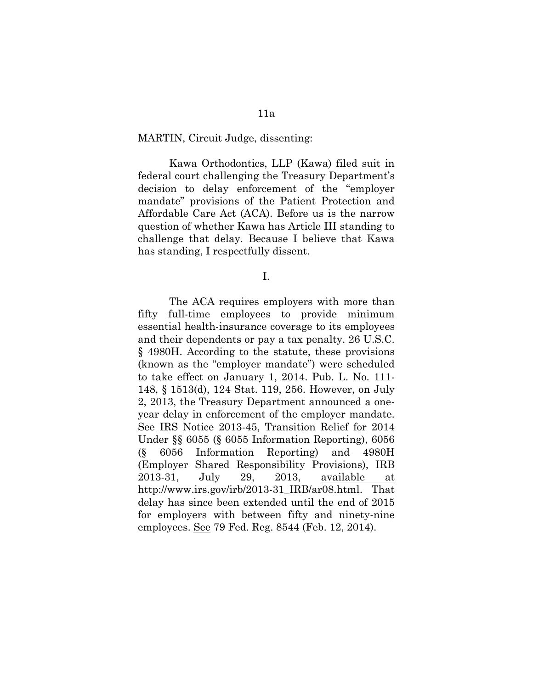#### MARTIN, Circuit Judge, dissenting:

Kawa Orthodontics, LLP (Kawa) filed suit in federal court challenging the Treasury Department's decision to delay enforcement of the "employer mandate" provisions of the Patient Protection and Affordable Care Act (ACA). Before us is the narrow question of whether Kawa has Article III standing to challenge that delay. Because I believe that Kawa has standing, I respectfully dissent.

I.

The ACA requires employers with more than fifty full-time employees to provide minimum essential health-insurance coverage to its employees and their dependents or pay a tax penalty. 26 U.S.C. § 4980H. According to the statute, these provisions (known as the "employer mandate") were scheduled to take effect on January 1, 2014. Pub. L. No. 111- 148, § 1513(d), 124 Stat. 119, 256. However, on July 2, 2013, the Treasury Department announced a oneyear delay in enforcement of the employer mandate. See IRS Notice 2013-45, Transition Relief for 2014 Under §§ 6055 (§ 6055 Information Reporting), 6056 (§ 6056 Information Reporting) and 4980H (Employer Shared Responsibility Provisions), IRB 2013-31, July 29, 2013, available at http://www.irs.gov/irb/2013-31\_IRB/ar08.html. That delay has since been extended until the end of 2015 for employers with between fifty and ninety-nine employees. See 79 Fed. Reg. 8544 (Feb. 12, 2014).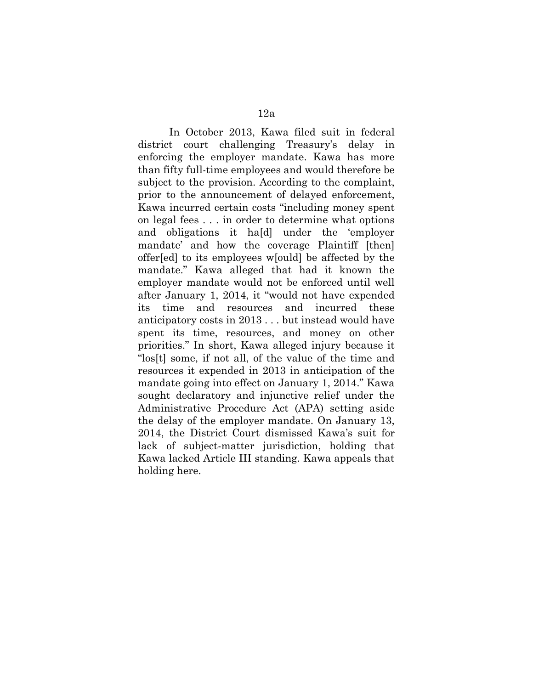In October 2013, Kawa filed suit in federal district court challenging Treasury's delay in enforcing the employer mandate. Kawa has more than fifty full-time employees and would therefore be subject to the provision. According to the complaint, prior to the announcement of delayed enforcement, Kawa incurred certain costs "including money spent on legal fees . . . in order to determine what options and obligations it ha[d] under the 'employer mandate' and how the coverage Plaintiff [then] offer[ed] to its employees w[ould] be affected by the mandate." Kawa alleged that had it known the employer mandate would not be enforced until well after January 1, 2014, it "would not have expended its time and resources and incurred these anticipatory costs in 2013 . . . but instead would have spent its time, resources, and money on other priorities." In short, Kawa alleged injury because it "los[t] some, if not all, of the value of the time and resources it expended in 2013 in anticipation of the mandate going into effect on January 1, 2014." Kawa sought declaratory and injunctive relief under the Administrative Procedure Act (APA) setting aside the delay of the employer mandate. On January 13, 2014, the District Court dismissed Kawa's suit for lack of subject-matter jurisdiction, holding that Kawa lacked Article III standing. Kawa appeals that holding here.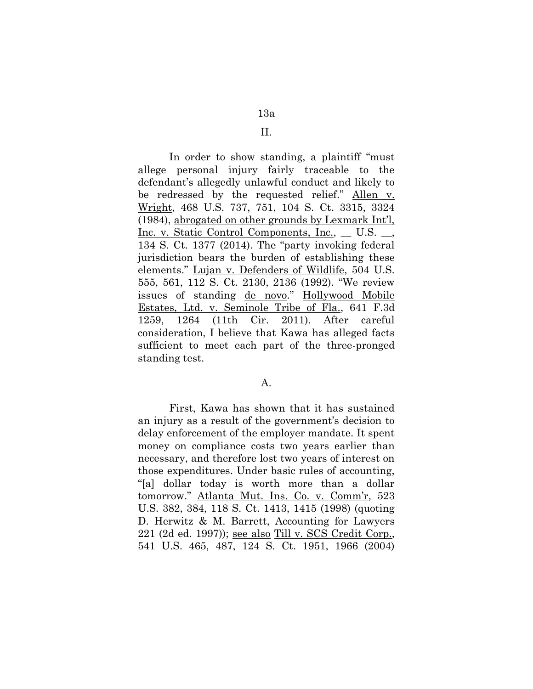### II.

In order to show standing, a plaintiff "must allege personal injury fairly traceable to the defendant's allegedly unlawful conduct and likely to be redressed by the requested relief." Allen v. Wright, 468 U.S. 737, 751, 104 S. Ct. 3315, 3324 (1984), abrogated on other grounds by Lexmark Int'l, Inc. v. Static Control Components, Inc., \_\_ U.S. \_\_, 134 S. Ct. 1377 (2014). The "party invoking federal jurisdiction bears the burden of establishing these elements." Lujan v. Defenders of Wildlife, 504 U.S. 555, 561, 112 S. Ct. 2130, 2136 (1992). "We review issues of standing de novo." Hollywood Mobile Estates, Ltd. v. Seminole Tribe of Fla., 641 F.3d 1259, 1264 (11th Cir. 2011). After careful consideration, I believe that Kawa has alleged facts sufficient to meet each part of the three-pronged standing test.

### A.

First, Kawa has shown that it has sustained an injury as a result of the government's decision to delay enforcement of the employer mandate. It spent money on compliance costs two years earlier than necessary, and therefore lost two years of interest on those expenditures. Under basic rules of accounting, "[a] dollar today is worth more than a dollar tomorrow." Atlanta Mut. Ins. Co. v. Comm'r, 523 U.S. 382, 384, 118 S. Ct. 1413, 1415 (1998) (quoting D. Herwitz & M. Barrett, Accounting for Lawyers 221 (2d ed. 1997)); see also Till v. SCS Credit Corp., 541 U.S. 465, 487, 124 S. Ct. 1951, 1966 (2004)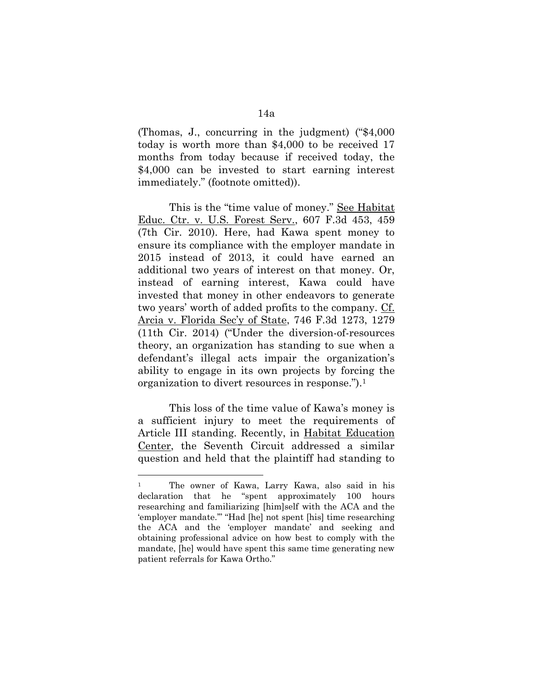(Thomas, J., concurring in the judgment) ("\$4,000 today is worth more than \$4,000 to be received 17 months from today because if received today, the \$4,000 can be invested to start earning interest immediately." (footnote omitted)).

This is the "time value of money." See Habitat Educ. Ctr. v. U.S. Forest Serv., 607 F.3d 453, 459 (7th Cir. 2010). Here, had Kawa spent money to ensure its compliance with the employer mandate in 2015 instead of 2013, it could have earned an additional two years of interest on that money. Or, instead of earning interest, Kawa could have invested that money in other endeavors to generate two years' worth of added profits to the company. Cf. Arcia v. Florida Sec'y of State, 746 F.3d 1273, 1279 (11th Cir. 2014) ("Under the diversion-of-resources theory, an organization has standing to sue when a defendant's illegal acts impair the organization's ability to engage in its own projects by forcing the organization to divert resources in response.").<sup>1</sup>

This loss of the time value of Kawa's money is a sufficient injury to meet the requirements of Article III standing. Recently, in Habitat Education Center, the Seventh Circuit addressed a similar question and held that the plaintiff had standing to

 $\overline{a}$ 

<sup>1</sup> The owner of Kawa, Larry Kawa, also said in his declaration that he "spent approximately 100 hours researching and familiarizing [him]self with the ACA and the 'employer mandate.'" "Had [he] not spent [his] time researching the ACA and the 'employer mandate' and seeking and obtaining professional advice on how best to comply with the mandate, [he] would have spent this same time generating new patient referrals for Kawa Ortho."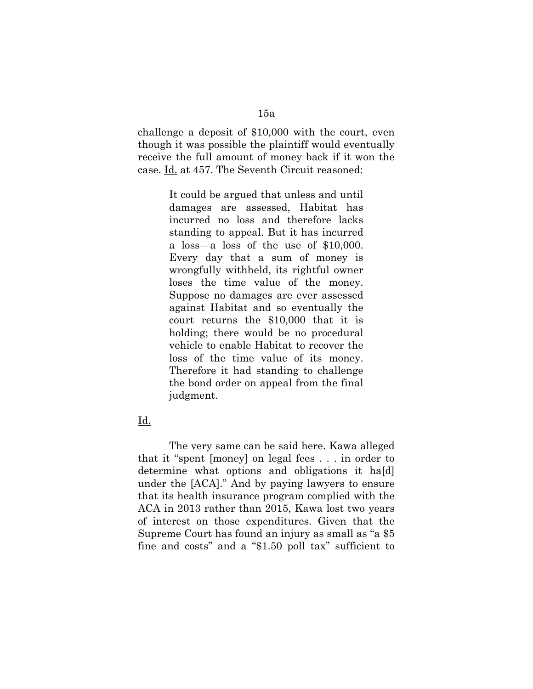challenge a deposit of \$10,000 with the court, even though it was possible the plaintiff would eventually receive the full amount of money back if it won the case. Id. at 457. The Seventh Circuit reasoned:

> It could be argued that unless and until damages are assessed, Habitat has incurred no loss and therefore lacks standing to appeal. But it has incurred a loss—a loss of the use of \$10,000. Every day that a sum of money is wrongfully withheld, its rightful owner loses the time value of the money. Suppose no damages are ever assessed against Habitat and so eventually the court returns the \$10,000 that it is holding; there would be no procedural vehicle to enable Habitat to recover the loss of the time value of its money. Therefore it had standing to challenge the bond order on appeal from the final judgment.

### Id.

The very same can be said here. Kawa alleged that it "spent [money] on legal fees . . . in order to determine what options and obligations it ha[d] under the [ACA]." And by paying lawyers to ensure that its health insurance program complied with the ACA in 2013 rather than 2015, Kawa lost two years of interest on those expenditures. Given that the Supreme Court has found an injury as small as "a \$5 fine and costs" and a "\$1.50 poll tax" sufficient to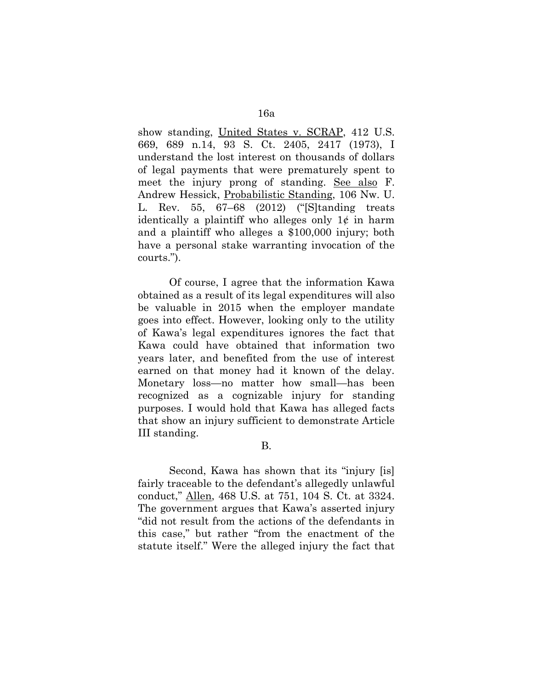show standing, United States v. SCRAP, 412 U.S. 669, 689 n.14, 93 S. Ct. 2405, 2417 (1973), I understand the lost interest on thousands of dollars of legal payments that were prematurely spent to meet the injury prong of standing. See also F. Andrew Hessick, Probabilistic Standing, 106 Nw. U. L. Rev. 55, 67–68 (2012) ("[S]tanding treats identically a plaintiff who alleges only  $1¢$  in harm and a plaintiff who alleges a \$100,000 injury; both have a personal stake warranting invocation of the courts.").

Of course, I agree that the information Kawa obtained as a result of its legal expenditures will also be valuable in 2015 when the employer mandate goes into effect. However, looking only to the utility of Kawa's legal expenditures ignores the fact that Kawa could have obtained that information two years later, and benefited from the use of interest earned on that money had it known of the delay. Monetary loss—no matter how small—has been recognized as a cognizable injury for standing purposes. I would hold that Kawa has alleged facts that show an injury sufficient to demonstrate Article III standing.

Second, Kawa has shown that its "injury [is] fairly traceable to the defendant's allegedly unlawful conduct," Allen, 468 U.S. at 751, 104 S. Ct. at 3324. The government argues that Kawa's asserted injury "did not result from the actions of the defendants in this case," but rather "from the enactment of the statute itself." Were the alleged injury the fact that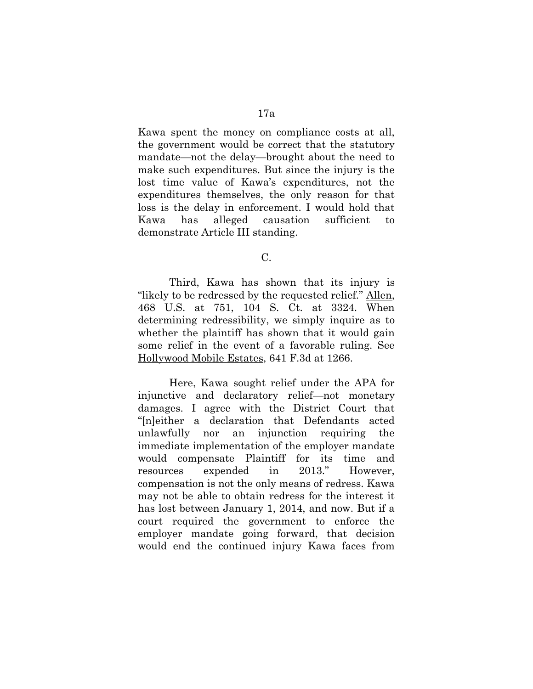Kawa spent the money on compliance costs at all, the government would be correct that the statutory mandate—not the delay—brought about the need to make such expenditures. But since the injury is the lost time value of Kawa's expenditures, not the expenditures themselves, the only reason for that loss is the delay in enforcement. I would hold that Kawa has alleged causation sufficient to demonstrate Article III standing.

C.

Third, Kawa has shown that its injury is "likely to be redressed by the requested relief." Allen, 468 U.S. at 751, 104 S. Ct. at 3324. When determining redressibility, we simply inquire as to whether the plaintiff has shown that it would gain some relief in the event of a favorable ruling. See Hollywood Mobile Estates, 641 F.3d at 1266.

Here, Kawa sought relief under the APA for injunctive and declaratory relief—not monetary damages. I agree with the District Court that "[n]either a declaration that Defendants acted unlawfully nor an injunction requiring the immediate implementation of the employer mandate would compensate Plaintiff for its time and resources expended in 2013." However, compensation is not the only means of redress. Kawa may not be able to obtain redress for the interest it has lost between January 1, 2014, and now. But if a court required the government to enforce the employer mandate going forward, that decision would end the continued injury Kawa faces from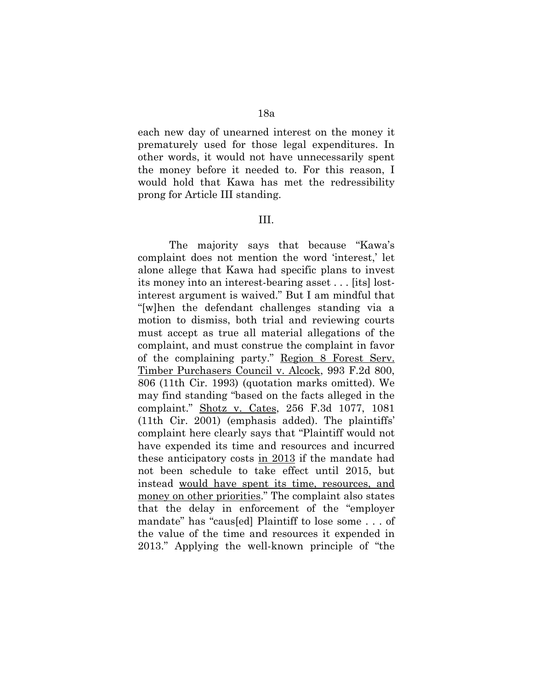each new day of unearned interest on the money it prematurely used for those legal expenditures. In other words, it would not have unnecessarily spent the money before it needed to. For this reason, I would hold that Kawa has met the redressibility prong for Article III standing.

#### III.

The majority says that because "Kawa's complaint does not mention the word 'interest,' let alone allege that Kawa had specific plans to invest its money into an interest-bearing asset . . . [its] lostinterest argument is waived." But I am mindful that "[w]hen the defendant challenges standing via a motion to dismiss, both trial and reviewing courts must accept as true all material allegations of the complaint, and must construe the complaint in favor of the complaining party." Region 8 Forest Serv. Timber Purchasers Council v. Alcock, 993 F.2d 800, 806 (11th Cir. 1993) (quotation marks omitted). We may find standing "based on the facts alleged in the complaint." Shotz v. Cates, 256 F.3d 1077, 1081 (11th Cir. 2001) (emphasis added). The plaintiffs' complaint here clearly says that "Plaintiff would not have expended its time and resources and incurred these anticipatory costs in 2013 if the mandate had not been schedule to take effect until 2015, but instead would have spent its time, resources, and money on other priorities." The complaint also states that the delay in enforcement of the "employer mandate" has "caus[ed] Plaintiff to lose some . . . of the value of the time and resources it expended in 2013." Applying the well-known principle of "the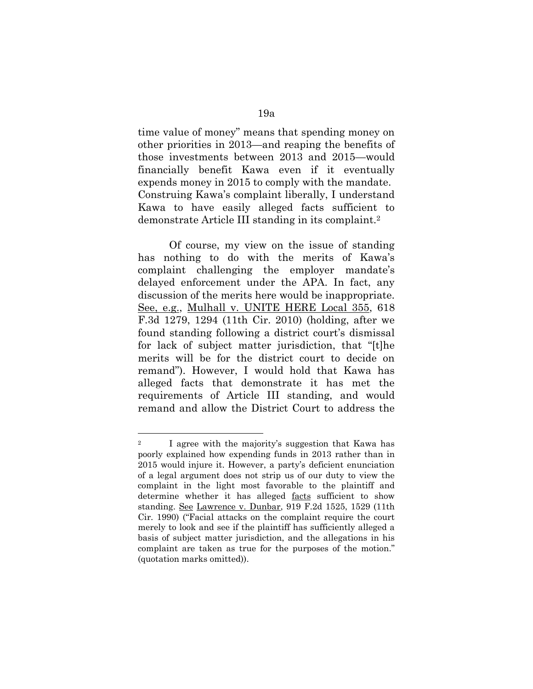time value of money" means that spending money on other priorities in 2013—and reaping the benefits of those investments between 2013 and 2015—would financially benefit Kawa even if it eventually expends money in 2015 to comply with the mandate. Construing Kawa's complaint liberally, I understand Kawa to have easily alleged facts sufficient to demonstrate Article III standing in its complaint.<sup>2</sup>

Of course, my view on the issue of standing has nothing to do with the merits of Kawa's complaint challenging the employer mandate's delayed enforcement under the APA. In fact, any discussion of the merits here would be inappropriate. See, e.g., Mulhall v. UNITE HERE Local 355, 618 F.3d 1279, 1294 (11th Cir. 2010) (holding, after we found standing following a district court's dismissal for lack of subject matter jurisdiction, that "[t]he merits will be for the district court to decide on remand"). However, I would hold that Kawa has alleged facts that demonstrate it has met the requirements of Article III standing, and would remand and allow the District Court to address the

 $\overline{a}$ 

<sup>&</sup>lt;sup>2</sup> I agree with the majority's suggestion that Kawa has poorly explained how expending funds in 2013 rather than in 2015 would injure it. However, a party's deficient enunciation of a legal argument does not strip us of our duty to view the complaint in the light most favorable to the plaintiff and determine whether it has alleged facts sufficient to show standing. See Lawrence v. Dunbar, 919 F.2d 1525, 1529 (11th Cir. 1990) ("Facial attacks on the complaint require the court merely to look and see if the plaintiff has sufficiently alleged a basis of subject matter jurisdiction, and the allegations in his complaint are taken as true for the purposes of the motion." (quotation marks omitted)).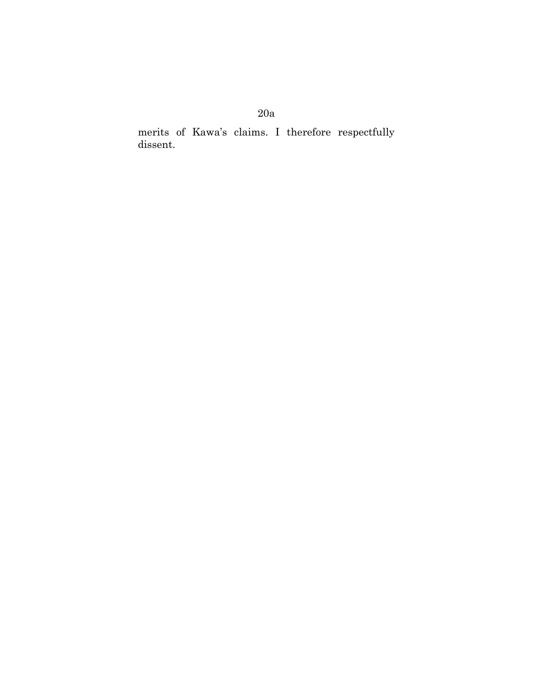# 20a

merits of Kawa's claims. I therefore respectfully dissent.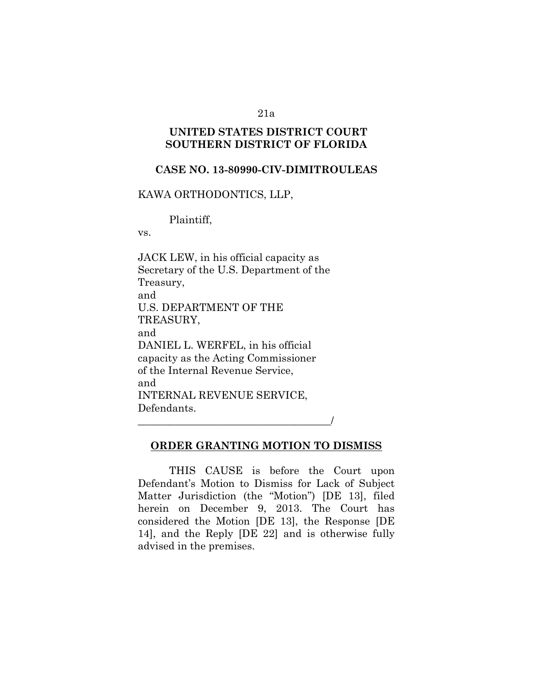#### 21a

### **UNITED STATES DISTRICT COURT SOUTHERN DISTRICT OF FLORIDA**

### **CASE NO. 13-80990-CIV-DIMITROULEAS**

### KAWA ORTHODONTICS, LLP,

Plaintiff,

vs.

JACK LEW, in his official capacity as Secretary of the U.S. Department of the Treasury, and U.S. DEPARTMENT OF THE TREASURY, and DANIEL L. WERFEL, in his official capacity as the Acting Commissioner of the Internal Revenue Service, and INTERNAL REVENUE SERVICE, Defendants. \_\_\_\_\_\_\_\_\_\_\_\_\_\_\_\_\_\_\_\_\_\_\_\_\_\_\_\_\_\_\_\_\_\_\_\_\_/

### **ORDER GRANTING MOTION TO DISMISS**

THIS CAUSE is before the Court upon Defendant's Motion to Dismiss for Lack of Subject Matter Jurisdiction (the "Motion") [DE 13], filed herein on December 9, 2013. The Court has considered the Motion [DE 13], the Response [DE 14], and the Reply [DE 22] and is otherwise fully advised in the premises.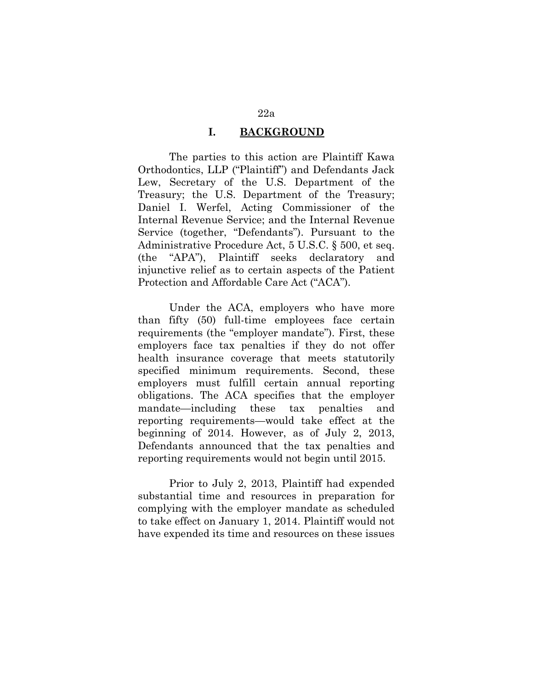### **I. BACKGROUND**

The parties to this action are Plaintiff Kawa Orthodontics, LLP ("Plaintiff") and Defendants Jack Lew, Secretary of the U.S. Department of the Treasury; the U.S. Department of the Treasury; Daniel I. Werfel, Acting Commissioner of the Internal Revenue Service; and the Internal Revenue Service (together, "Defendants"). Pursuant to the Administrative Procedure Act, 5 U.S.C. § 500, et seq. (the "APA"), Plaintiff seeks declaratory and injunctive relief as to certain aspects of the Patient Protection and Affordable Care Act ("ACA").

Under the ACA, employers who have more than fifty (50) full-time employees face certain requirements (the "employer mandate"). First, these employers face tax penalties if they do not offer health insurance coverage that meets statutorily specified minimum requirements. Second, these employers must fulfill certain annual reporting obligations. The ACA specifies that the employer mandate—including these tax penalties and reporting requirements—would take effect at the beginning of 2014. However, as of July 2, 2013, Defendants announced that the tax penalties and reporting requirements would not begin until 2015.

Prior to July 2, 2013, Plaintiff had expended substantial time and resources in preparation for complying with the employer mandate as scheduled to take effect on January 1, 2014. Plaintiff would not have expended its time and resources on these issues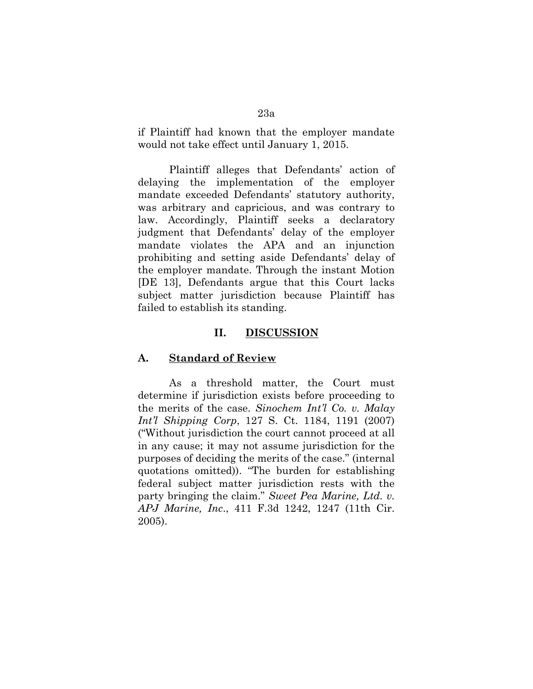if Plaintiff had known that the employer mandate would not take effect until January 1, 2015.

Plaintiff alleges that Defendants' action of delaying the implementation of the employer mandate exceeded Defendants' statutory authority, was arbitrary and capricious, and was contrary to law. Accordingly, Plaintiff seeks a declaratory judgment that Defendants' delay of the employer mandate violates the APA and an injunction prohibiting and setting aside Defendants' delay of the employer mandate. Through the instant Motion [DE 13], Defendants argue that this Court lacks subject matter jurisdiction because Plaintiff has failed to establish its standing.

#### **II. DISCUSSION**

#### **A. Standard of Review**

As a threshold matter, the Court must determine if jurisdiction exists before proceeding to the merits of the case. *Sinochem Int'l Co. v. Malay Int'l Shipping Corp*, 127 S. Ct. 1184, 1191 (2007) ("Without jurisdiction the court cannot proceed at all in any cause; it may not assume jurisdiction for the purposes of deciding the merits of the case." (internal quotations omitted)). "The burden for establishing federal subject matter jurisdiction rests with the party bringing the claim." *Sweet Pea Marine, Ltd. v. APJ Marine, Inc*., 411 F.3d 1242, 1247 (11th Cir. 2005).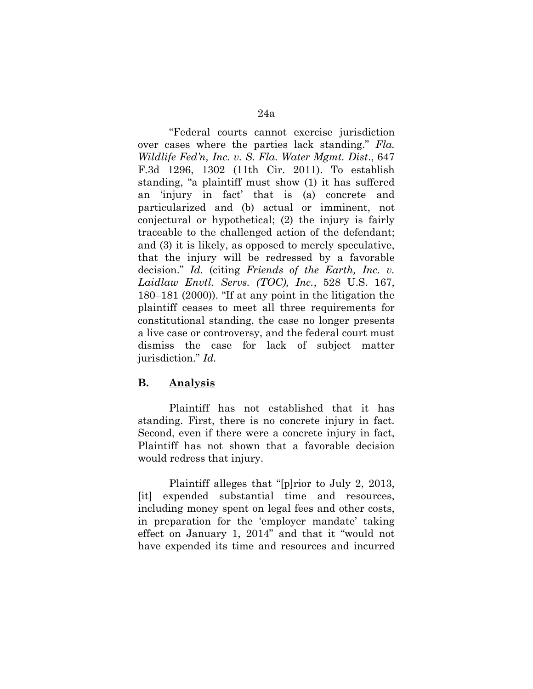"Federal courts cannot exercise jurisdiction over cases where the parties lack standing." *Fla. Wildlife Fed'n, Inc. v. S. Fla. Water Mgmt. Dist*., 647 F.3d 1296, 1302 (11th Cir. 2011). To establish standing, "a plaintiff must show (1) it has suffered an 'injury in fact' that is (a) concrete and particularized and (b) actual or imminent, not conjectural or hypothetical; (2) the injury is fairly traceable to the challenged action of the defendant; and (3) it is likely, as opposed to merely speculative, that the injury will be redressed by a favorable decision." *Id.* (citing *Friends of the Earth, Inc. v. Laidlaw Envtl. Servs. (TOC), Inc.*, 528 U.S. 167, 180–181 (2000)). "If at any point in the litigation the plaintiff ceases to meet all three requirements for constitutional standing, the case no longer presents a live case or controversy, and the federal court must dismiss the case for lack of subject matter jurisdiction." *Id.* 

### **B. Analysis**

Plaintiff has not established that it has standing. First, there is no concrete injury in fact. Second, even if there were a concrete injury in fact, Plaintiff has not shown that a favorable decision would redress that injury.

Plaintiff alleges that "[p]rior to July 2, 2013, [it] expended substantial time and resources, including money spent on legal fees and other costs, in preparation for the 'employer mandate' taking effect on January 1, 2014" and that it "would not have expended its time and resources and incurred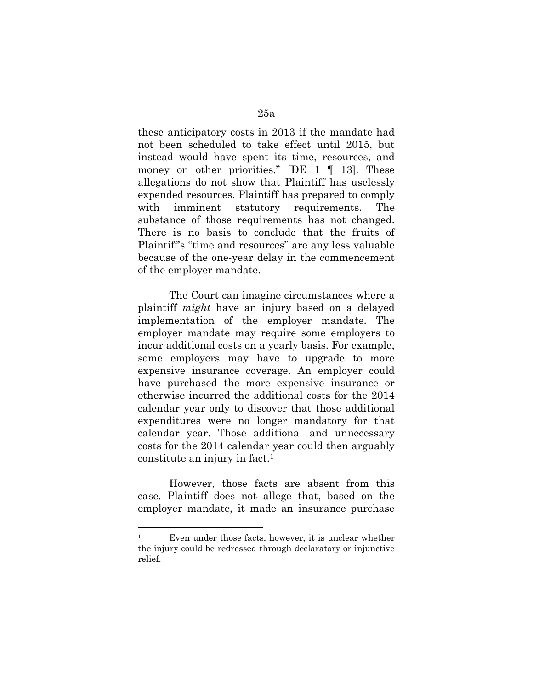these anticipatory costs in 2013 if the mandate had not been scheduled to take effect until 2015, but instead would have spent its time, resources, and money on other priorities." [DE  $1 \parallel 13$ ]. These allegations do not show that Plaintiff has uselessly expended resources. Plaintiff has prepared to comply with imminent statutory requirements. The substance of those requirements has not changed. There is no basis to conclude that the fruits of Plaintiff's "time and resources" are any less valuable because of the one-year delay in the commencement of the employer mandate.

The Court can imagine circumstances where a plaintiff *might* have an injury based on a delayed implementation of the employer mandate. The employer mandate may require some employers to incur additional costs on a yearly basis. For example, some employers may have to upgrade to more expensive insurance coverage. An employer could have purchased the more expensive insurance or otherwise incurred the additional costs for the 2014 calendar year only to discover that those additional expenditures were no longer mandatory for that calendar year. Those additional and unnecessary costs for the 2014 calendar year could then arguably constitute an injury in fact.<sup>1</sup>

However, those facts are absent from this case. Plaintiff does not allege that, based on the employer mandate, it made an insurance purchase

 $\overline{a}$ 

<sup>&</sup>lt;sup>1</sup> Even under those facts, however, it is unclear whether the injury could be redressed through declaratory or injunctive relief.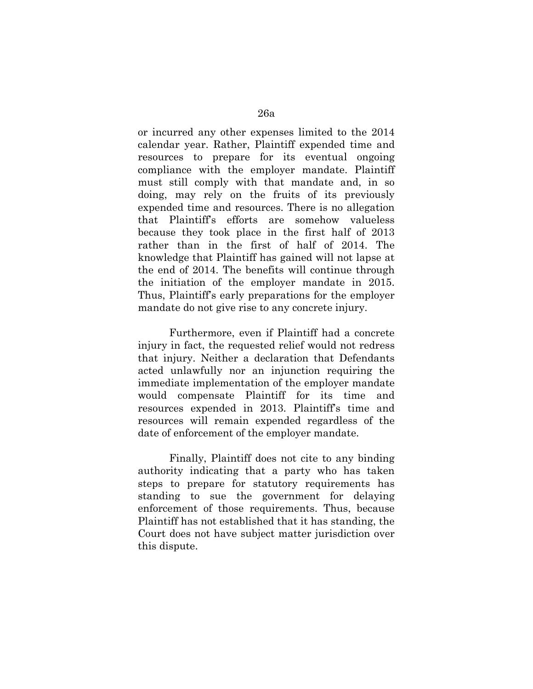or incurred any other expenses limited to the 2014 calendar year. Rather, Plaintiff expended time and resources to prepare for its eventual ongoing compliance with the employer mandate. Plaintiff must still comply with that mandate and, in so doing, may rely on the fruits of its previously expended time and resources. There is no allegation that Plaintiff's efforts are somehow valueless because they took place in the first half of 2013 rather than in the first of half of 2014. The knowledge that Plaintiff has gained will not lapse at the end of 2014. The benefits will continue through the initiation of the employer mandate in 2015. Thus, Plaintiff's early preparations for the employer mandate do not give rise to any concrete injury.

Furthermore, even if Plaintiff had a concrete injury in fact, the requested relief would not redress that injury. Neither a declaration that Defendants acted unlawfully nor an injunction requiring the immediate implementation of the employer mandate would compensate Plaintiff for its time and resources expended in 2013. Plaintiff's time and resources will remain expended regardless of the date of enforcement of the employer mandate.

Finally, Plaintiff does not cite to any binding authority indicating that a party who has taken steps to prepare for statutory requirements has standing to sue the government for delaying enforcement of those requirements. Thus, because Plaintiff has not established that it has standing, the Court does not have subject matter jurisdiction over this dispute.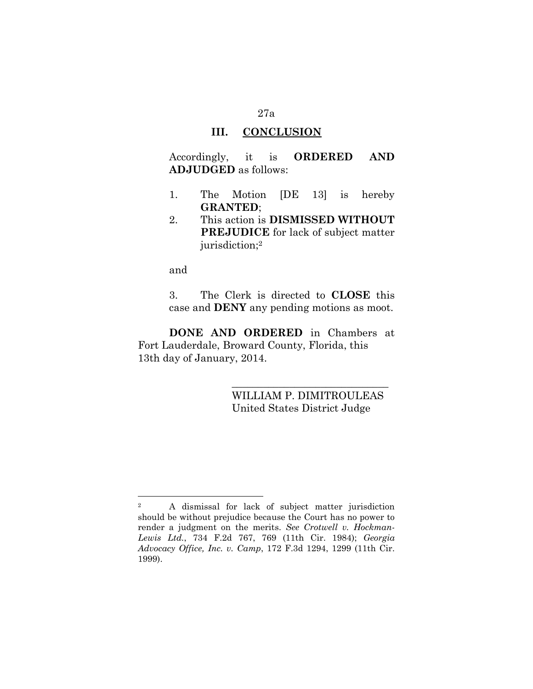### **III. CONCLUSION**

Accordingly, it is **ORDERED AND ADJUDGED** as follows:

- 1. The Motion [DE 13] is hereby **GRANTED**;
- 2. This action is **DISMISSED WITHOUT PREJUDICE** for lack of subject matter jurisdiction;<sup>2</sup>

and

 $\overline{a}$ 

3. The Clerk is directed to **CLOSE** this case and **DENY** any pending motions as moot.

**DONE AND ORDERED** in Chambers at Fort Lauderdale, Broward County, Florida, this 13th day of January, 2014.

> WILLIAM P. DIMITROULEAS United States District Judge

\_\_\_\_\_\_\_\_\_\_\_\_\_\_\_\_\_\_\_\_\_\_\_\_\_\_\_\_\_\_

<sup>2</sup> A dismissal for lack of subject matter jurisdiction should be without prejudice because the Court has no power to render a judgment on the merits. *See Crotwell v. Hockman-Lewis Ltd.*, 734 F.2d 767, 769 (11th Cir. 1984); *Georgia Advocacy Office, Inc. v. Camp*, 172 F.3d 1294, 1299 (11th Cir. 1999).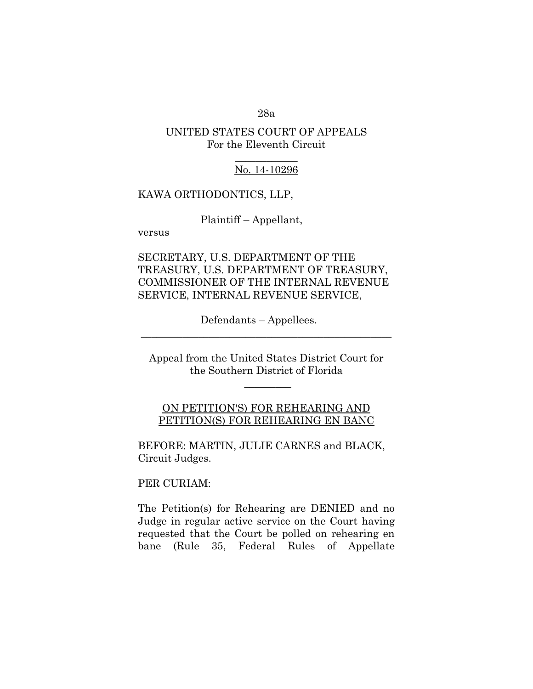28a

### UNITED STATES COURT OF APPEALS For the Eleventh Circuit

### $\frac{1}{2}$ No. 14-10296

#### KAWA ORTHODONTICS, LLP,

Plaintiff – Appellant,

versus

SECRETARY, U.S. DEPARTMENT OF THE TREASURY, U.S. DEPARTMENT OF TREASURY, COMMISSIONER OF THE INTERNAL REVENUE SERVICE, INTERNAL REVENUE SERVICE,

Defendants – Appellees.

Appeal from the United States District Court for the Southern District of Florida

 $\frac{1}{2}$ 

\_\_\_\_\_\_\_\_\_\_\_\_\_\_\_\_\_\_\_\_\_\_\_\_\_\_\_\_\_\_\_\_\_\_\_\_\_\_\_\_\_\_\_\_\_\_\_\_

ON PETITION'S) FOR REHEARING AND PETITION(S) FOR REHEARING EN BANC

BEFORE: MARTIN, JULIE CARNES and BLACK, Circuit Judges.

PER CURIAM:

The Petition(s) for Rehearing are DENIED and no Judge in regular active service on the Court having requested that the Court be polled on rehearing en bane (Rule 35, Federal Rules of Appellate